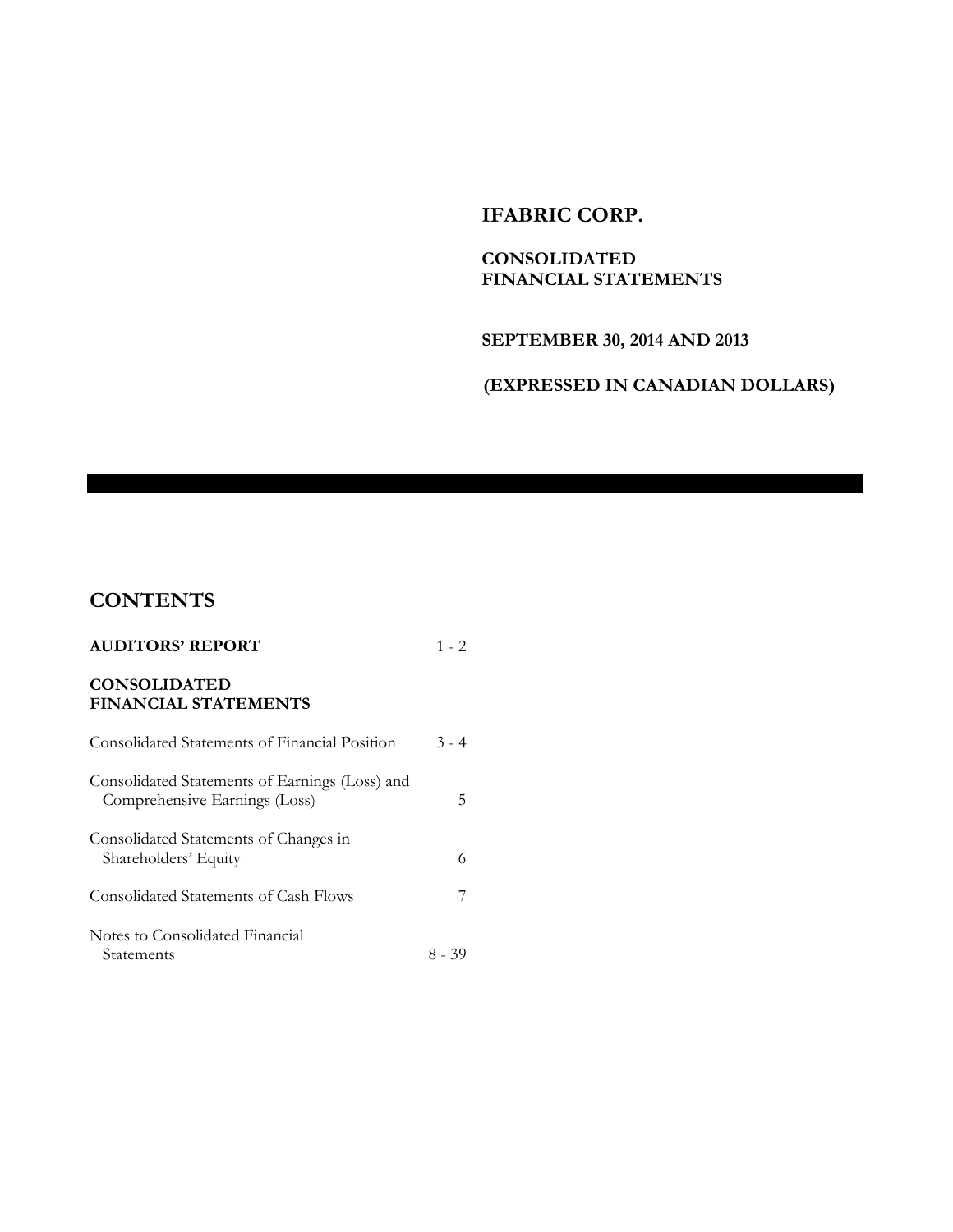### **IFABRIC CORP.**

### **CONSOLIDATED FINANCIAL STATEMENTS**

### **SEPTEMBER 30, 2014 AND 2013**

### **(EXPRESSED IN CANADIAN DOLLARS)**

# **CONTENTS**

| <b>AUDITORS' REPORT</b>                                                         | $1 - 2$ |
|---------------------------------------------------------------------------------|---------|
| <b>CONSOLIDATED</b><br><b>FINANCIAL STATEMENTS</b>                              |         |
| Consolidated Statements of Financial Position                                   | $3 - 4$ |
| Consolidated Statements of Earnings (Loss) and<br>Comprehensive Earnings (Loss) | 5       |
| Consolidated Statements of Changes in<br>Shareholders' Equity                   | 6       |
| Consolidated Statements of Cash Flows                                           |         |
| Notes to Consolidated Financial<br>Statements                                   | 8 - 39  |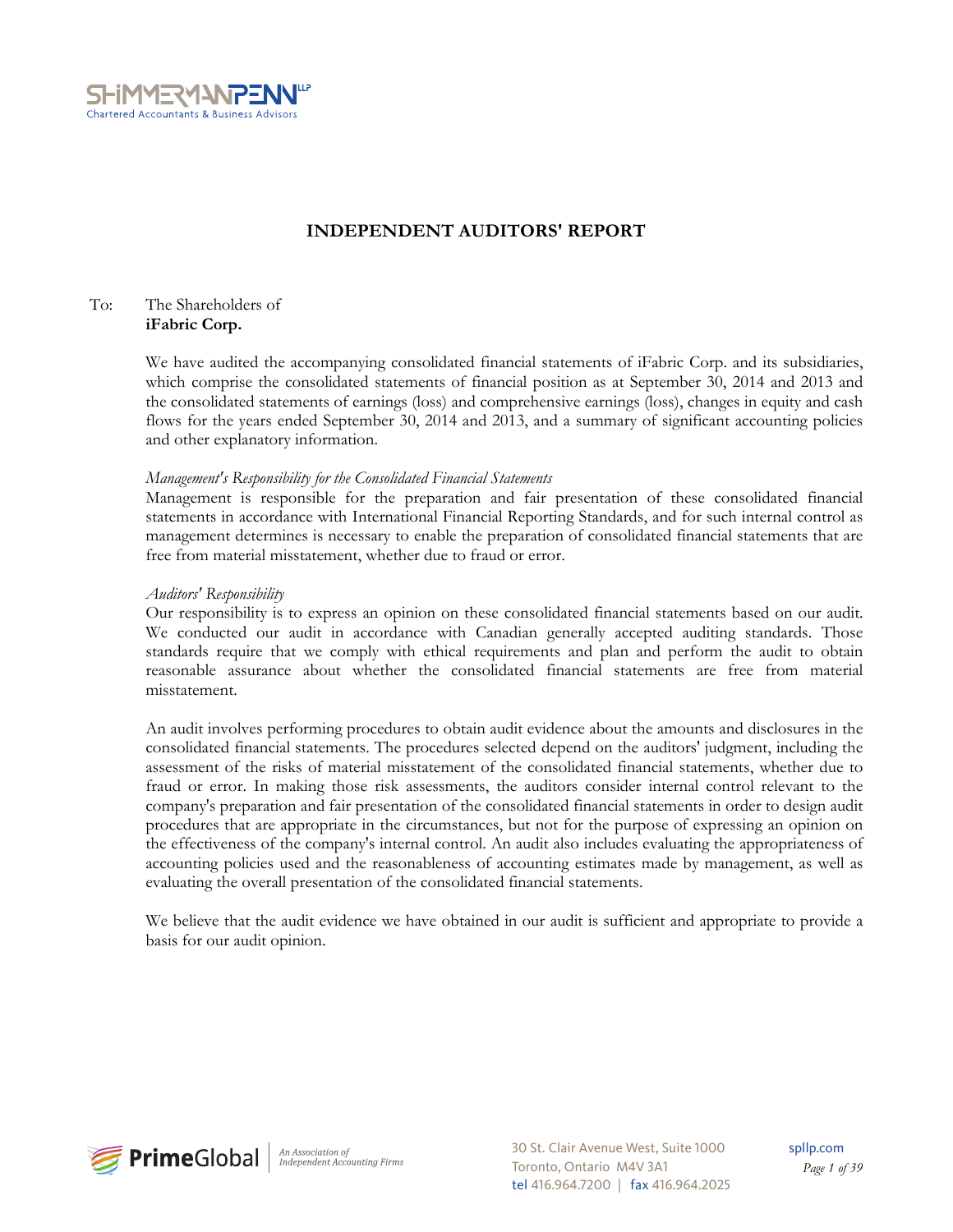

### **INDEPENDENT AUDITORS' REPORT**

#### To: The Shareholders of **iFabric Corp.**

We have audited the accompanying consolidated financial statements of iFabric Corp. and its subsidiaries, which comprise the consolidated statements of financial position as at September 30, 2014 and 2013 and the consolidated statements of earnings (loss) and comprehensive earnings (loss), changes in equity and cash flows for the years ended September 30, 2014 and 2013, and a summary of significant accounting policies and other explanatory information.

#### *Management's Responsibility for the Consolidated Financial Statements*

Management is responsible for the preparation and fair presentation of these consolidated financial statements in accordance with International Financial Reporting Standards, and for such internal control as management determines is necessary to enable the preparation of consolidated financial statements that are free from material misstatement, whether due to fraud or error.

#### *Auditors' Responsibility*

Our responsibility is to express an opinion on these consolidated financial statements based on our audit. We conducted our audit in accordance with Canadian generally accepted auditing standards. Those standards require that we comply with ethical requirements and plan and perform the audit to obtain reasonable assurance about whether the consolidated financial statements are free from material misstatement.

An audit involves performing procedures to obtain audit evidence about the amounts and disclosures in the consolidated financial statements. The procedures selected depend on the auditors' judgment, including the assessment of the risks of material misstatement of the consolidated financial statements, whether due to fraud or error. In making those risk assessments, the auditors consider internal control relevant to the company's preparation and fair presentation of the consolidated financial statements in order to design audit procedures that are appropriate in the circumstances, but not for the purpose of expressing an opinion on the effectiveness of the company's internal control. An audit also includes evaluating the appropriateness of accounting policies used and the reasonableness of accounting estimates made by management, as well as evaluating the overall presentation of the consolidated financial statements.

We believe that the audit evidence we have obtained in our audit is sufficient and appropriate to provide a basis for our audit opinion.



30 St. Clair Avenue West, Suite 1000 Toronto, Ontario M4V 3A1 tel 416.964.7200 | fax 416.964.2025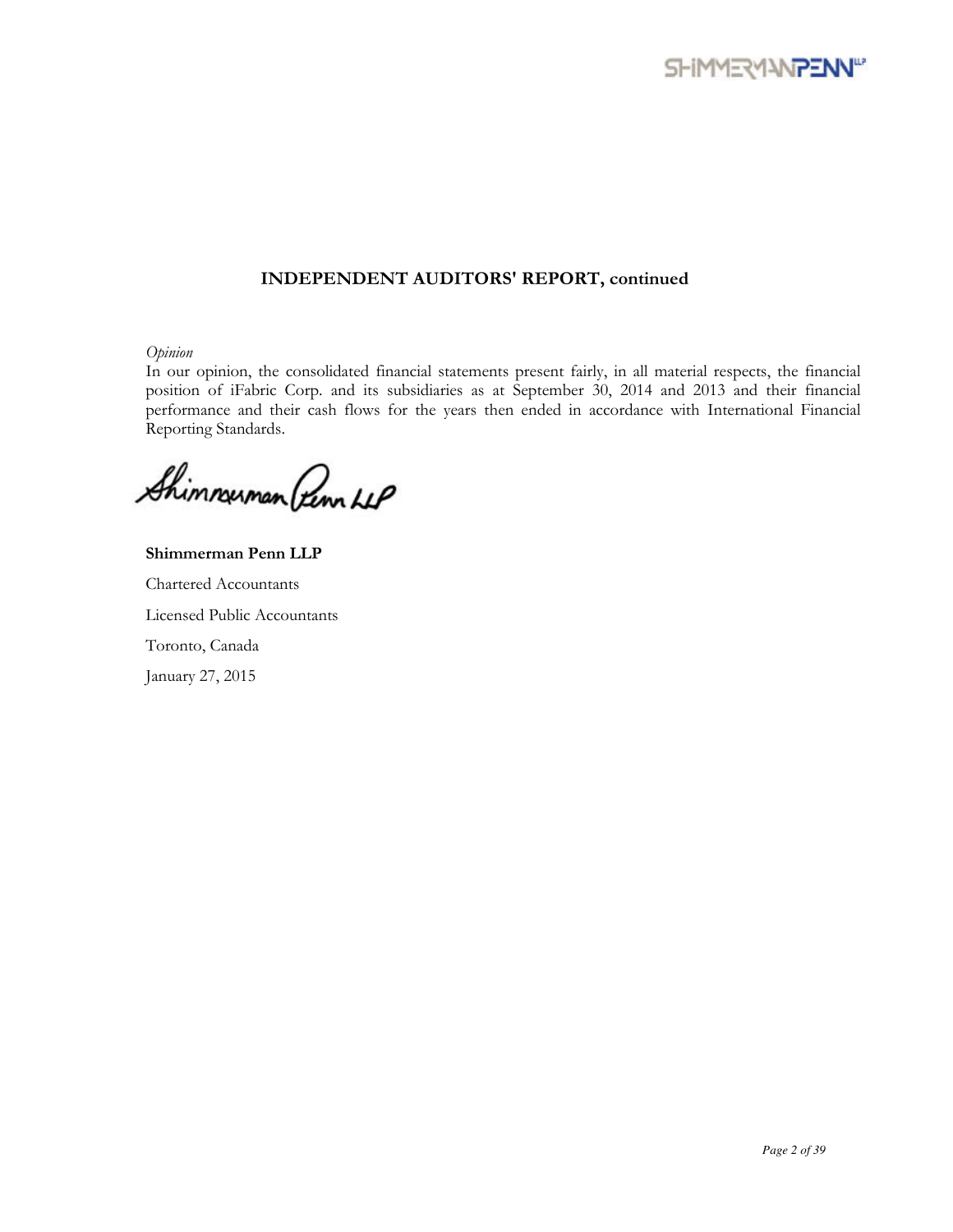

### **INDEPENDENT AUDITORS' REPORT, continued**

*Opinion* 

In our opinion, the consolidated financial statements present fairly, in all material respects, the financial position of iFabric Corp. and its subsidiaries as at September 30, 2014 and 2013 and their financial performance and their cash flows for the years then ended in accordance with International Financial Reporting Standards.

Shimmuman Penn LLP

**Shimmerman Penn LLP**  Chartered Accountants Licensed Public Accountants Toronto, Canada January 27, 2015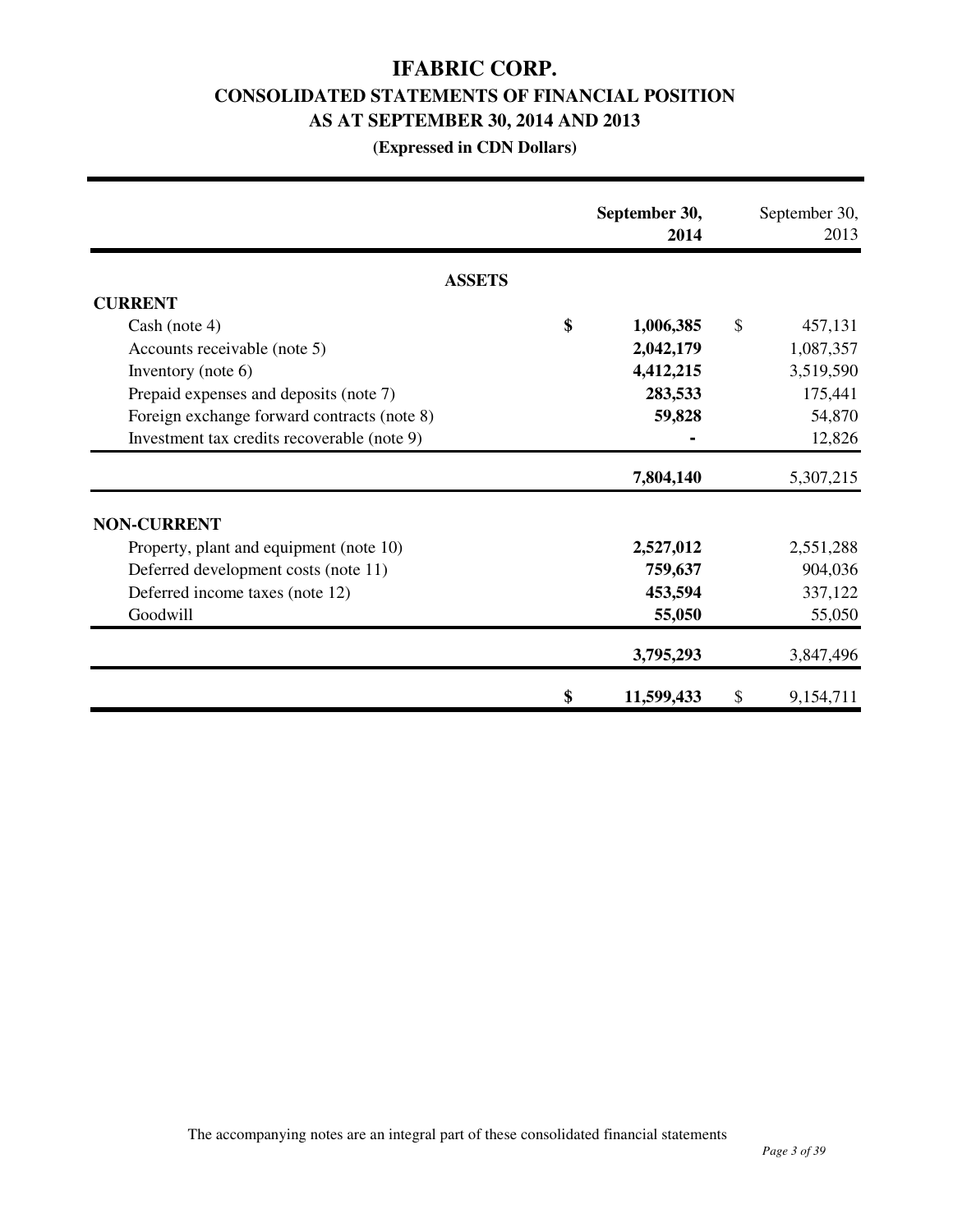# **IFABRIC CORP. CONSOLIDATED STATEMENTS OF FINANCIAL POSITION AS AT SEPTEMBER 30, 2014 AND 2013**

### **(Expressed in CDN Dollars)**

|                                             | September 30,<br>2014 | September 30,<br>2013 |
|---------------------------------------------|-----------------------|-----------------------|
| <b>ASSETS</b>                               |                       |                       |
| <b>CURRENT</b>                              |                       |                       |
| Cash (note 4)                               | \$<br>1,006,385       | \$<br>457,131         |
| Accounts receivable (note 5)                | 2,042,179             | 1,087,357             |
| Inventory (note $6$ )                       | 4,412,215             | 3,519,590             |
| Prepaid expenses and deposits (note 7)      | 283,533               | 175,441               |
| Foreign exchange forward contracts (note 8) | 59,828                | 54,870                |
| Investment tax credits recoverable (note 9) |                       | 12,826                |
|                                             | 7,804,140             | 5,307,215             |
| <b>NON-CURRENT</b>                          |                       |                       |
| Property, plant and equipment (note 10)     | 2,527,012             | 2,551,288             |
| Deferred development costs (note 11)        | 759,637               | 904,036               |
| Deferred income taxes (note 12)             | 453,594               | 337,122               |
| Goodwill                                    | 55,050                | 55,050                |
|                                             | 3,795,293             | 3,847,496             |
|                                             | \$<br>11,599,433      | \$<br>9,154,711       |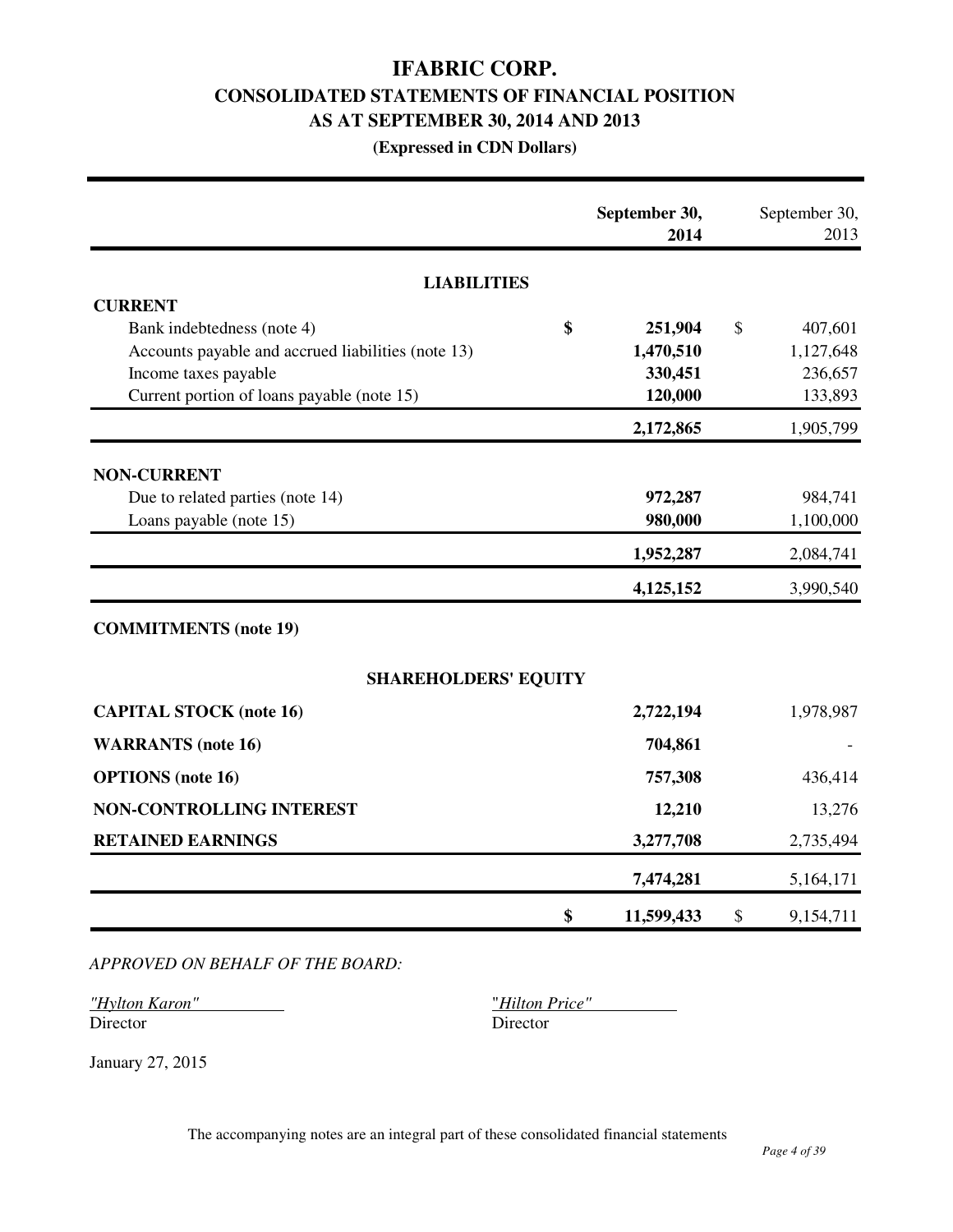# **IFABRIC CORP. CONSOLIDATED STATEMENTS OF FINANCIAL POSITION AS AT SEPTEMBER 30, 2014 AND 2013**

### **(Expressed in CDN Dollars)**

|                                                    | September 30,<br>2014 | September 30,<br>2013    |
|----------------------------------------------------|-----------------------|--------------------------|
| <b>LIABILITIES</b>                                 |                       |                          |
| <b>CURRENT</b>                                     |                       |                          |
| \$<br>Bank indebtedness (note 4)                   | 251,904               | $\mathcal{S}$<br>407,601 |
| Accounts payable and accrued liabilities (note 13) | 1,470,510             | 1,127,648                |
| Income taxes payable                               | 330,451               | 236,657                  |
| Current portion of loans payable (note 15)         | 120,000               | 133,893                  |
|                                                    | 2,172,865             | 1,905,799                |
| <b>NON-CURRENT</b>                                 |                       |                          |
| Due to related parties (note 14)                   | 972,287               | 984,741                  |
| Loans payable (note 15)                            | 980,000               | 1,100,000                |
|                                                    | 1,952,287             | 2,084,741                |
|                                                    | 4,125,152             | 3,990,540                |
| <b>COMMITMENTS</b> (note 19)                       |                       |                          |
| <b>SHAREHOLDERS' EQUITY</b>                        |                       |                          |
| <b>CAPITAL STOCK (note 16)</b>                     | 2,722,194             | 1,978,987                |
| <b>WARRANTS</b> (note 16)                          | 704,861               |                          |
| <b>OPTIONS</b> (note 16)                           | 757,308               | 436,414                  |
| NON-CONTROLLING INTEREST                           | 12,210                | 13,276                   |
| <b>RETAINED EARNINGS</b>                           | 3,277,708             | 2,735,494                |
|                                                    | 7,474,281             | 5,164,171                |
| \$                                                 | 11,599,433            | \$<br>9,154,711          |

*APPROVED ON BEHALF OF THE BOARD:*

*"Hylton Karon"* "*Hilton Price"*  Director Director

January 27, 2015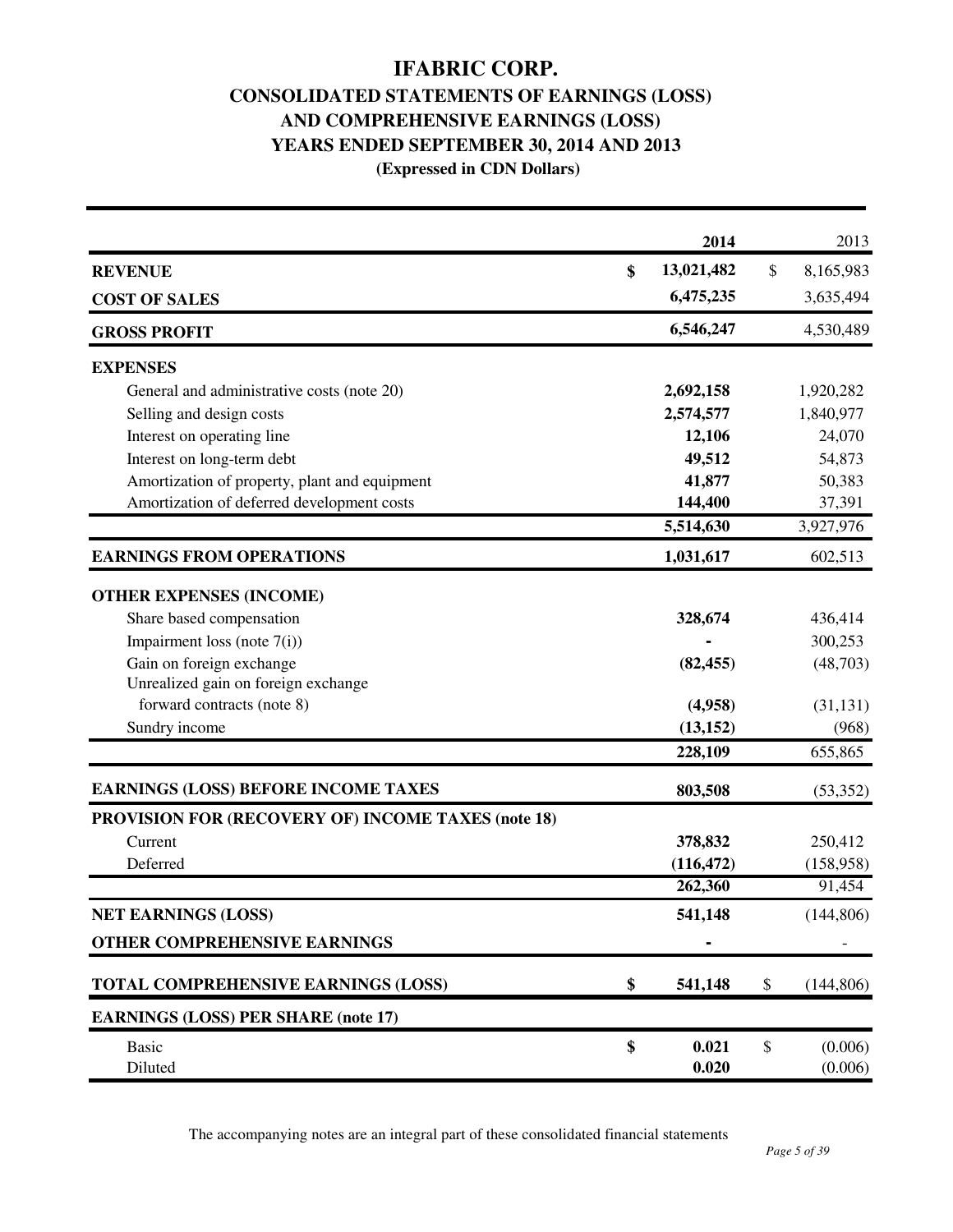# **IFABRIC CORP. CONSOLIDATED STATEMENTS OF EARNINGS (LOSS)**

# **AND COMPREHENSIVE EARNINGS (LOSS)**

# **YEARS ENDED SEPTEMBER 30, 2014 AND 2013**

 **(Expressed in CDN Dollars)** 

|                                                           | 2014             |                           | 2013       |
|-----------------------------------------------------------|------------------|---------------------------|------------|
| <b>REVENUE</b>                                            | \$<br>13,021,482 | $\mathcal{S}$             | 8,165,983  |
| <b>COST OF SALES</b>                                      | 6,475,235        |                           | 3,635,494  |
| <b>GROSS PROFIT</b>                                       | 6,546,247        |                           | 4,530,489  |
| <b>EXPENSES</b>                                           |                  |                           |            |
| General and administrative costs (note 20)                | 2,692,158        |                           | 1,920,282  |
| Selling and design costs                                  | 2,574,577        |                           | 1,840,977  |
| Interest on operating line                                | 12,106           |                           | 24,070     |
| Interest on long-term debt                                | 49,512           |                           | 54,873     |
| Amortization of property, plant and equipment             | 41,877           |                           | 50,383     |
| Amortization of deferred development costs                | 144,400          |                           | 37,391     |
|                                                           | 5,514,630        |                           | 3,927,976  |
| <b>EARNINGS FROM OPERATIONS</b>                           | 1,031,617        |                           | 602,513    |
| <b>OTHER EXPENSES (INCOME)</b>                            |                  |                           |            |
| Share based compensation                                  | 328,674          |                           | 436,414    |
| Impairment loss (note $7(i)$ )                            |                  |                           | 300,253    |
| Gain on foreign exchange                                  | (82, 455)        |                           | (48,703)   |
| Unrealized gain on foreign exchange                       |                  |                           |            |
| forward contracts (note 8)                                | (4,958)          |                           | (31, 131)  |
| Sundry income                                             | (13, 152)        |                           | (968)      |
|                                                           | 228,109          |                           | 655,865    |
| <b>EARNINGS (LOSS) BEFORE INCOME TAXES</b>                | 803,508          |                           | (53, 352)  |
| <b>PROVISION FOR (RECOVERY OF) INCOME TAXES (note 18)</b> |                  |                           |            |
| Current                                                   | 378,832          |                           | 250,412    |
| Deferred                                                  | (116, 472)       |                           | (158,958)  |
|                                                           | 262,360          |                           | 91,454     |
| <b>NET EARNINGS (LOSS)</b>                                | 541,148          |                           | (144, 806) |
| OTHER COMPREHENSIVE EARNINGS                              |                  |                           |            |
| TOTAL COMPREHENSIVE EARNINGS (LOSS)                       | \$<br>541,148    | \$                        | (144, 806) |
| <b>EARNINGS (LOSS) PER SHARE (note 17)</b>                |                  |                           |            |
| <b>Basic</b>                                              | \$<br>0.021      | $\boldsymbol{\mathsf{S}}$ | (0.006)    |
| Diluted                                                   | 0.020            |                           | (0.006)    |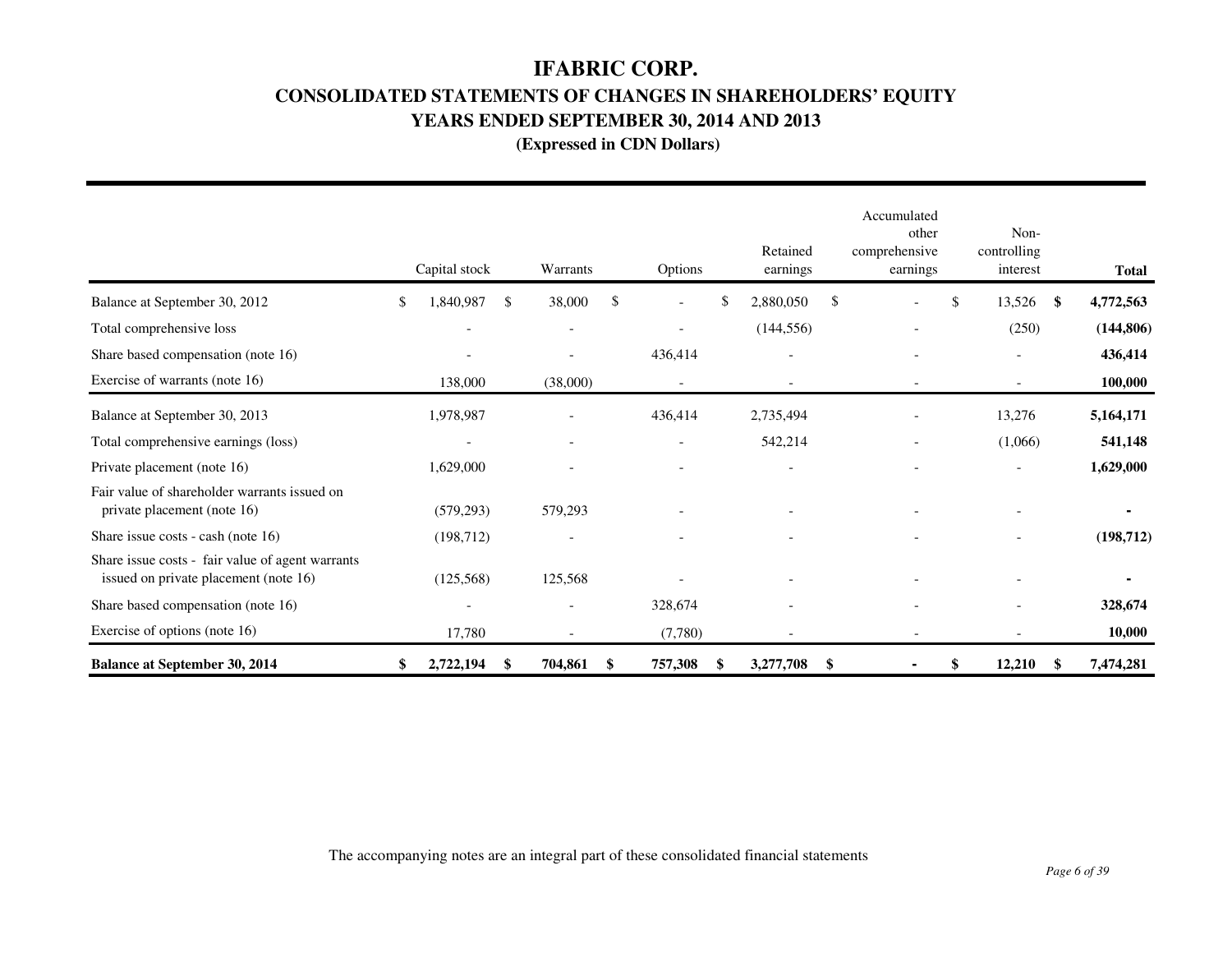## **IFABRIC CORP.**

# **CONSOLIDATED STATEMENTS OF CHANGES IN SHAREHOLDERS' EQUITY**

**YEARS ENDED SEPTEMBER 30, 2014 AND 2013** 

 **(Expressed in CDN Dollars)** 

|                                                                                           | Capital stock            |    | Warrants                 | Options                        |    | Retained<br>earnings     |               | Accumulated<br>other<br>comprehensive<br>earnings | Non-<br>controlling<br>interest |      | <b>Total</b> |
|-------------------------------------------------------------------------------------------|--------------------------|----|--------------------------|--------------------------------|----|--------------------------|---------------|---------------------------------------------------|---------------------------------|------|--------------|
| Balance at September 30, 2012                                                             | 1,840,987<br>\$          | -S | 38,000                   | \$<br>$\overline{\phantom{a}}$ | \$ | 2,880,050                | $\mathcal{S}$ |                                                   | \$<br>13,526                    | - \$ | 4,772,563    |
| Total comprehensive loss                                                                  | $\overline{\phantom{0}}$ |    |                          | $\overline{\phantom{0}}$       |    | (144, 556)               |               |                                                   | (250)                           |      | (144, 806)   |
| Share based compensation (note 16)                                                        | $\overline{\phantom{a}}$ |    |                          | 436,414                        |    | $\overline{\phantom{0}}$ |               |                                                   | $\overline{\phantom{0}}$        |      | 436,414      |
| Exercise of warrants (note 16)                                                            | 138,000                  |    | (38,000)                 | $\overline{\phantom{a}}$       |    | $\overline{\phantom{0}}$ |               | $\overline{\phantom{a}}$                          | $\overline{\phantom{0}}$        |      | 100,000      |
| Balance at September 30, 2013                                                             | 1,978,987                |    |                          | 436,414                        |    | 2,735,494                |               |                                                   | 13,276                          |      | 5,164,171    |
| Total comprehensive earnings (loss)                                                       | $\overline{\phantom{a}}$ |    | $\overline{\phantom{a}}$ | $\overline{\phantom{a}}$       |    | 542,214                  |               | $\overline{\phantom{a}}$                          | (1,066)                         |      | 541,148      |
| Private placement (note 16)                                                               | 1,629,000                |    |                          | $\overline{\phantom{a}}$       |    | $\overline{\phantom{0}}$ |               |                                                   | $\overline{\phantom{a}}$        |      | 1,629,000    |
| Fair value of shareholder warrants issued on<br>private placement (note 16)               | (579, 293)               |    | 579,293                  |                                |    |                          |               |                                                   |                                 |      |              |
| Share issue costs - cash (note 16)                                                        | (198, 712)               |    |                          |                                |    |                          |               |                                                   |                                 |      | (198, 712)   |
| Share issue costs - fair value of agent warrants<br>issued on private placement (note 16) | (125, 568)               |    | 125,568                  |                                |    |                          |               |                                                   |                                 |      |              |
| Share based compensation (note 16)                                                        | $\overline{\phantom{a}}$ |    |                          | 328,674                        |    | $\overline{\phantom{a}}$ |               |                                                   |                                 |      | 328,674      |
| Exercise of options (note 16)                                                             | 17,780                   |    |                          | (7,780)                        |    |                          |               |                                                   |                                 |      | 10,000       |
| <b>Balance at September 30, 2014</b>                                                      | 2,722,194                | \$ | 704,861                  | 757,308<br>\$                  | S  | 3,277,708                | -\$           |                                                   | \$<br>12,210                    |      | 7,474,281    |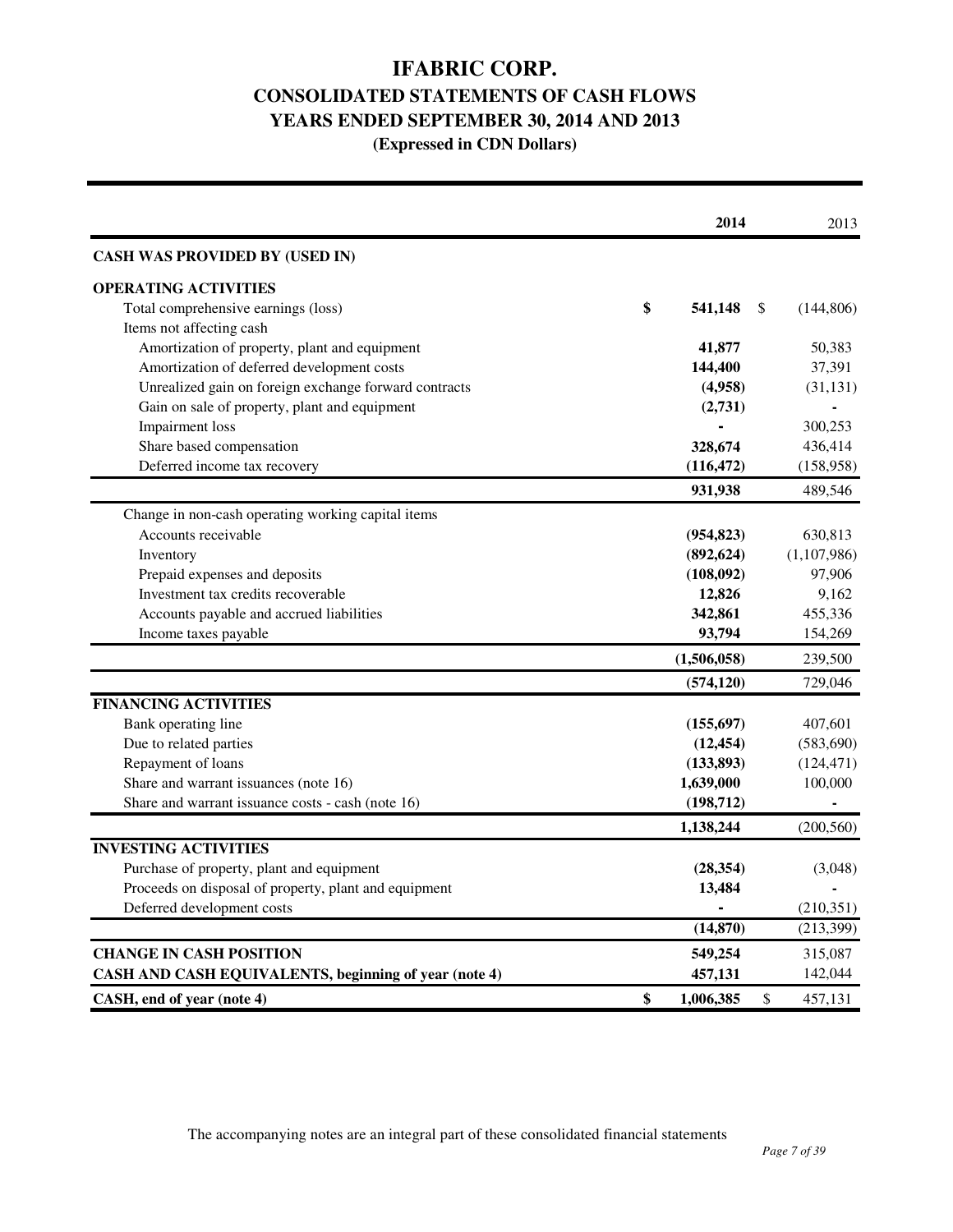# **IFABRIC CORP. CONSOLIDATED STATEMENTS OF CASH FLOWS YEARS ENDED SEPTEMBER 30, 2014 AND 2013 (Expressed in CDN Dollars)**

|                                                       | 2014            | 2013             |
|-------------------------------------------------------|-----------------|------------------|
| <b>CASH WAS PROVIDED BY (USED IN)</b>                 |                 |                  |
| <b>OPERATING ACTIVITIES</b>                           |                 |                  |
| Total comprehensive earnings (loss)                   | \$<br>541,148   | \$<br>(144, 806) |
| Items not affecting cash                              |                 |                  |
| Amortization of property, plant and equipment         | 41,877          | 50,383           |
| Amortization of deferred development costs            | 144,400         | 37,391           |
| Unrealized gain on foreign exchange forward contracts | (4,958)         | (31, 131)        |
| Gain on sale of property, plant and equipment         | (2,731)         |                  |
| <b>Impairment</b> loss                                |                 | 300,253          |
| Share based compensation                              | 328,674         | 436,414          |
| Deferred income tax recovery                          | (116, 472)      | (158,958)        |
|                                                       | 931,938         | 489,546          |
| Change in non-cash operating working capital items    |                 |                  |
| Accounts receivable                                   | (954, 823)      | 630,813          |
| Inventory                                             | (892, 624)      | (1,107,986)      |
| Prepaid expenses and deposits                         | (108,092)       | 97,906           |
| Investment tax credits recoverable                    | 12,826          | 9,162            |
| Accounts payable and accrued liabilities              | 342,861         | 455,336          |
| Income taxes payable                                  | 93,794          | 154,269          |
|                                                       | (1,506,058)     | 239,500          |
|                                                       | (574, 120)      | 729,046          |
| <b>FINANCING ACTIVITIES</b>                           |                 |                  |
| Bank operating line                                   | (155, 697)      | 407,601          |
| Due to related parties                                | (12, 454)       | (583, 690)       |
| Repayment of loans                                    | (133,893)       | (124, 471)       |
| Share and warrant issuances (note 16)                 | 1,639,000       | 100,000          |
| Share and warrant issuance costs - cash (note 16)     | (198, 712)      |                  |
|                                                       | 1,138,244       | (200, 560)       |
| <b>INVESTING ACTIVITIES</b>                           |                 |                  |
| Purchase of property, plant and equipment             | (28, 354)       | (3,048)          |
| Proceeds on disposal of property, plant and equipment | 13,484          |                  |
| Deferred development costs                            |                 | (210, 351)       |
|                                                       | (14, 870)       | (213, 399)       |
| <b>CHANGE IN CASH POSITION</b>                        | 549,254         | 315,087          |
| CASH AND CASH EQUIVALENTS, beginning of year (note 4) | 457,131         | 142,044          |
| CASH, end of year (note 4)                            | \$<br>1,006,385 | \$<br>457,131    |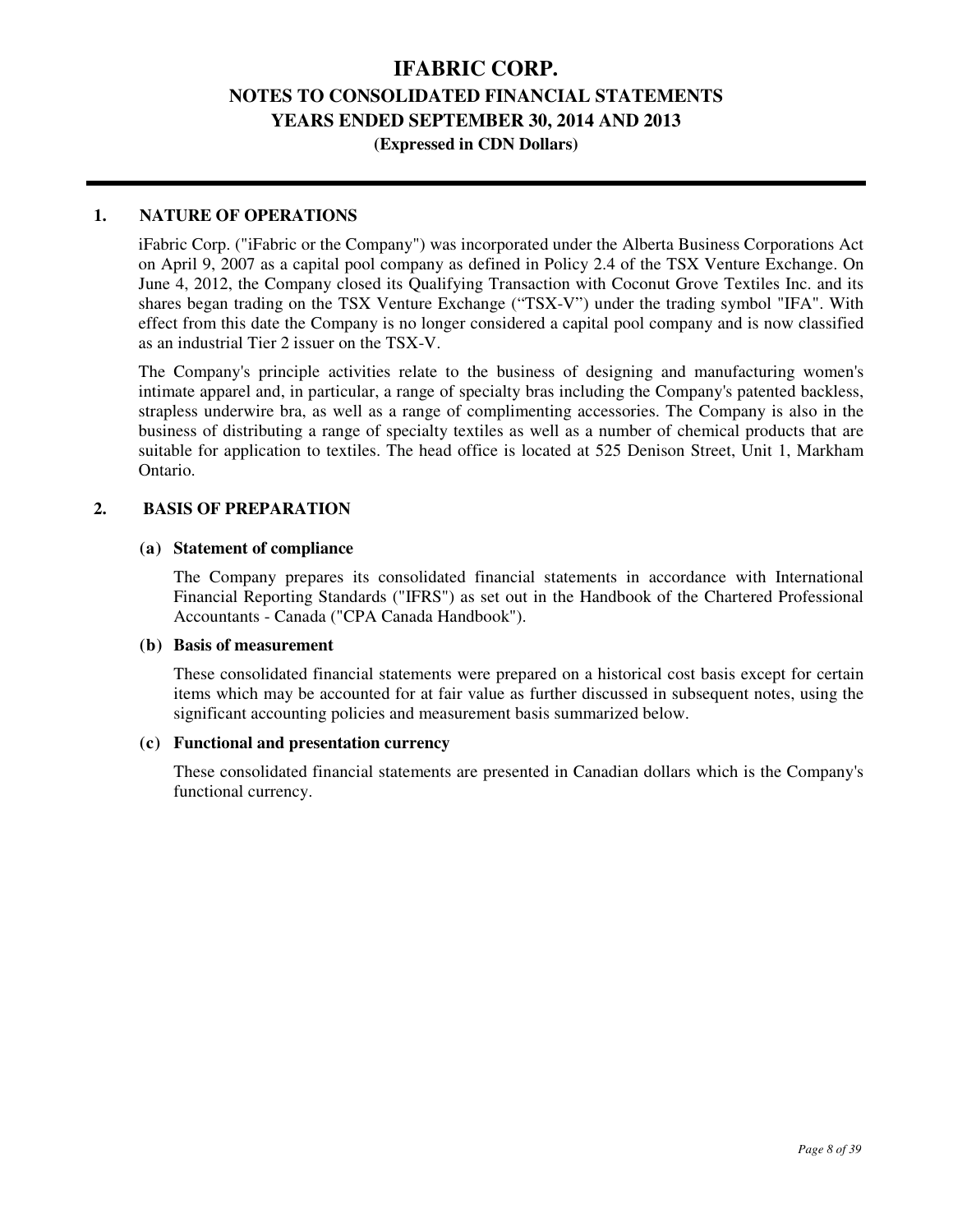### **(Expressed in CDN Dollars)**

#### **1. NATURE OF OPERATIONS**

iFabric Corp. ("iFabric or the Company") was incorporated under the Alberta Business Corporations Act on April 9, 2007 as a capital pool company as defined in Policy 2.4 of the TSX Venture Exchange. On June 4, 2012, the Company closed its Qualifying Transaction with Coconut Grove Textiles Inc. and its shares began trading on the TSX Venture Exchange ("TSX-V") under the trading symbol "IFA". With effect from this date the Company is no longer considered a capital pool company and is now classified as an industrial Tier 2 issuer on the TSX-V.

The Company's principle activities relate to the business of designing and manufacturing women's intimate apparel and, in particular, a range of specialty bras including the Company's patented backless, strapless underwire bra, as well as a range of complimenting accessories. The Company is also in the business of distributing a range of specialty textiles as well as a number of chemical products that are suitable for application to textiles. The head office is located at 525 Denison Street, Unit 1, Markham Ontario.

#### **2. BASIS OF PREPARATION**

#### **(a) Statement of compliance**

 The Company prepares its consolidated financial statements in accordance with International Financial Reporting Standards ("IFRS") as set out in the Handbook of the Chartered Professional Accountants - Canada ("CPA Canada Handbook").

#### **(b) Basis of measurement**

 These consolidated financial statements were prepared on a historical cost basis except for certain items which may be accounted for at fair value as further discussed in subsequent notes, using the significant accounting policies and measurement basis summarized below.

#### **(c) Functional and presentation currency**

 These consolidated financial statements are presented in Canadian dollars which is the Company's functional currency.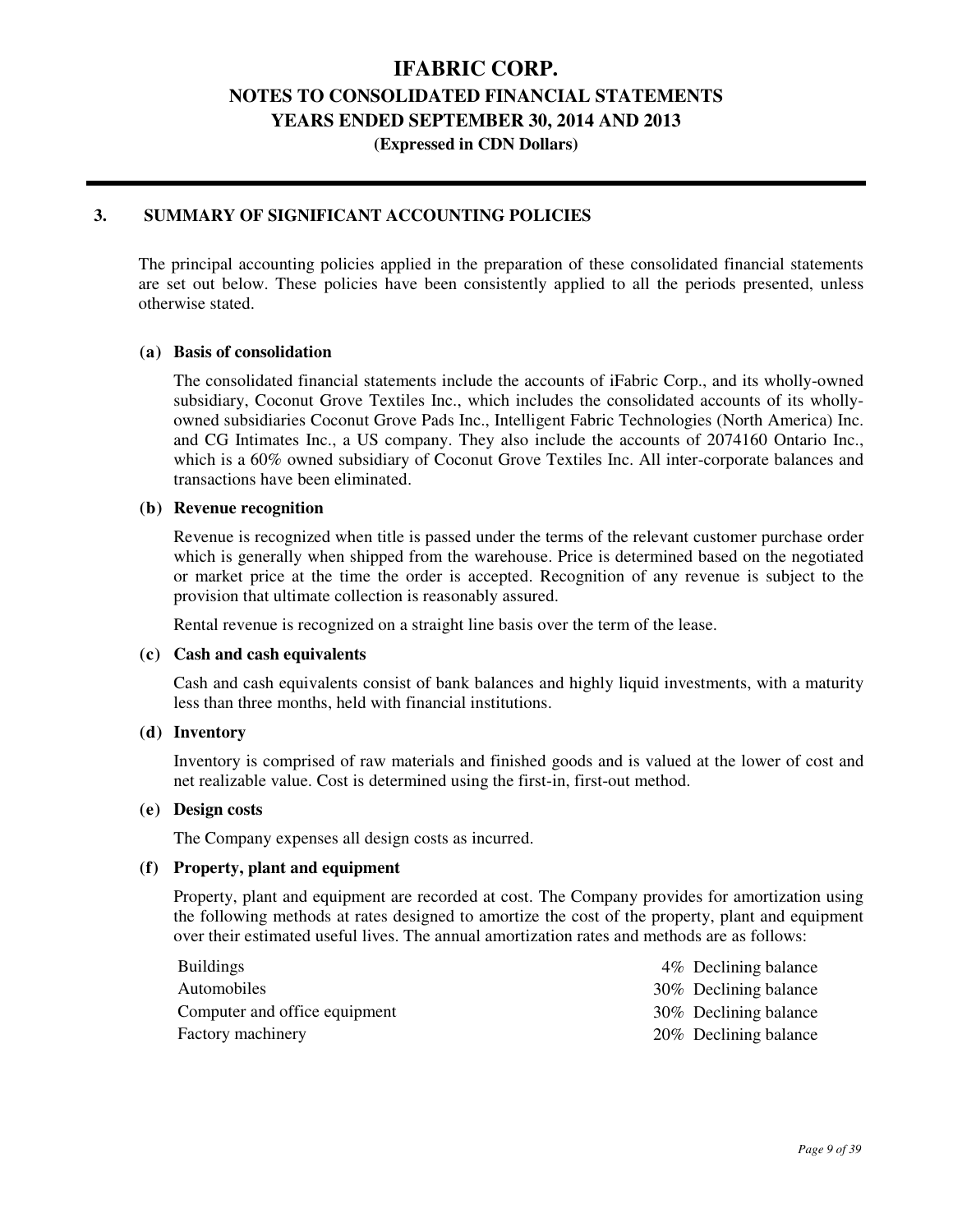### **IFABRIC CORP.**

### **NOTES TO CONSOLIDATED FINANCIAL STATEMENTS**

**YEARS ENDED SEPTEMBER 30, 2014 AND 2013** 

**(Expressed in CDN Dollars)** 

#### **3. SUMMARY OF SIGNIFICANT ACCOUNTING POLICIES**

The principal accounting policies applied in the preparation of these consolidated financial statements are set out below. These policies have been consistently applied to all the periods presented, unless otherwise stated.

#### **(a) Basis of consolidation**

 The consolidated financial statements include the accounts of iFabric Corp., and its wholly-owned subsidiary, Coconut Grove Textiles Inc., which includes the consolidated accounts of its whollyowned subsidiaries Coconut Grove Pads Inc., Intelligent Fabric Technologies (North America) Inc. and CG Intimates Inc., a US company. They also include the accounts of 2074160 Ontario Inc., which is a 60% owned subsidiary of Coconut Grove Textiles Inc. All inter-corporate balances and transactions have been eliminated.

#### **(b) Revenue recognition**

 Revenue is recognized when title is passed under the terms of the relevant customer purchase order which is generally when shipped from the warehouse. Price is determined based on the negotiated or market price at the time the order is accepted. Recognition of any revenue is subject to the provision that ultimate collection is reasonably assured.

Rental revenue is recognized on a straight line basis over the term of the lease.

#### **(c) Cash and cash equivalents**

 Cash and cash equivalents consist of bank balances and highly liquid investments, with a maturity less than three months, held with financial institutions.

#### **(d) Inventory**

 Inventory is comprised of raw materials and finished goods and is valued at the lower of cost and net realizable value. Cost is determined using the first-in, first-out method.

#### **(e) Design costs**

The Company expenses all design costs as incurred.

#### **(f) Property, plant and equipment**

 Property, plant and equipment are recorded at cost. The Company provides for amortization using the following methods at rates designed to amortize the cost of the property, plant and equipment over their estimated useful lives. The annual amortization rates and methods are as follows:

| <b>Buildings</b>              | 4\% Declining balance |  |
|-------------------------------|-----------------------|--|
| Automobiles                   | 30% Declining balance |  |
| Computer and office equipment | 30% Declining balance |  |
| Factory machinery             | 20% Declining balance |  |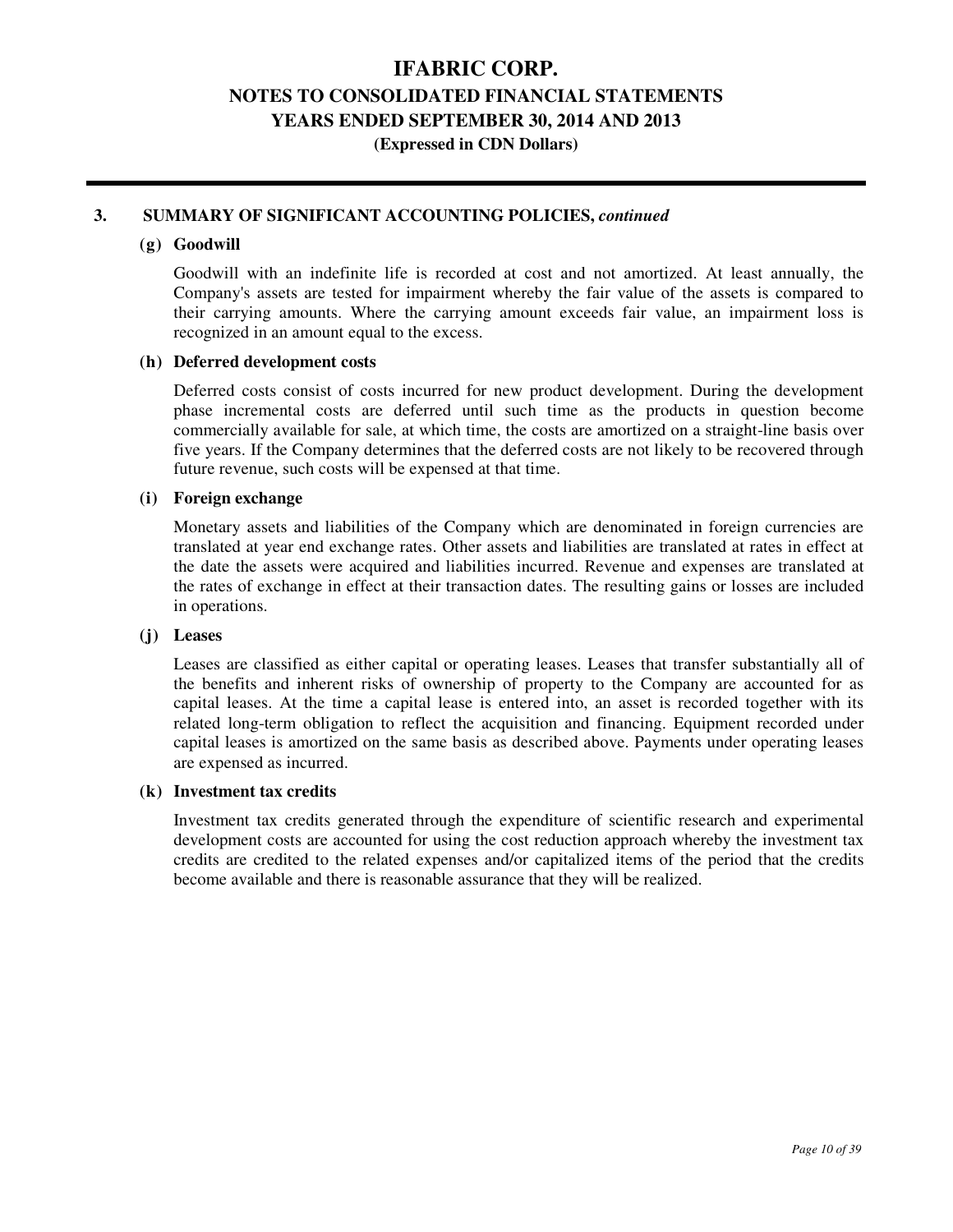### **IFABRIC CORP.**

# **NOTES TO CONSOLIDATED FINANCIAL STATEMENTS**

**YEARS ENDED SEPTEMBER 30, 2014 AND 2013** 

**(Expressed in CDN Dollars)** 

#### **3. SUMMARY OF SIGNIFICANT ACCOUNTING POLICIES,** *continued*

#### **(g) Goodwill**

 Goodwill with an indefinite life is recorded at cost and not amortized. At least annually, the Company's assets are tested for impairment whereby the fair value of the assets is compared to their carrying amounts. Where the carrying amount exceeds fair value, an impairment loss is recognized in an amount equal to the excess.

#### **(h) Deferred development costs**

 Deferred costs consist of costs incurred for new product development. During the development phase incremental costs are deferred until such time as the products in question become commercially available for sale, at which time, the costs are amortized on a straight-line basis over five years. If the Company determines that the deferred costs are not likely to be recovered through future revenue, such costs will be expensed at that time.

#### **(i) Foreign exchange**

 Monetary assets and liabilities of the Company which are denominated in foreign currencies are translated at year end exchange rates. Other assets and liabilities are translated at rates in effect at the date the assets were acquired and liabilities incurred. Revenue and expenses are translated at the rates of exchange in effect at their transaction dates. The resulting gains or losses are included in operations.

#### **(j) Leases**

 Leases are classified as either capital or operating leases. Leases that transfer substantially all of the benefits and inherent risks of ownership of property to the Company are accounted for as capital leases. At the time a capital lease is entered into, an asset is recorded together with its related long-term obligation to reflect the acquisition and financing. Equipment recorded under capital leases is amortized on the same basis as described above. Payments under operating leases are expensed as incurred.

#### **(k) Investment tax credits**

 Investment tax credits generated through the expenditure of scientific research and experimental development costs are accounted for using the cost reduction approach whereby the investment tax credits are credited to the related expenses and/or capitalized items of the period that the credits become available and there is reasonable assurance that they will be realized.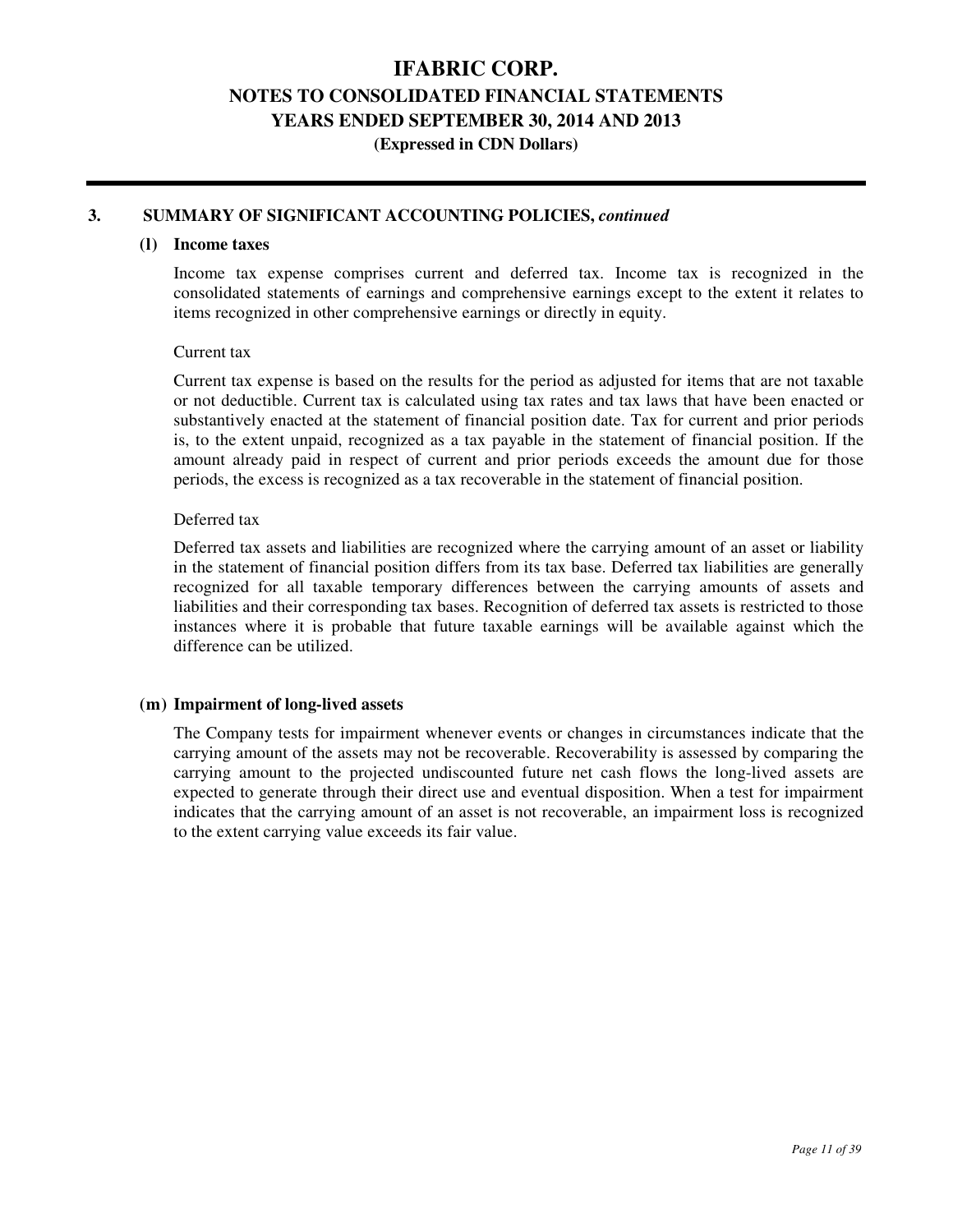# **IFABRIC CORP. NOTES TO CONSOLIDATED FINANCIAL STATEMENTS**

**YEARS ENDED SEPTEMBER 30, 2014 AND 2013** 

**(Expressed in CDN Dollars)** 

#### **3. SUMMARY OF SIGNIFICANT ACCOUNTING POLICIES,** *continued*

#### **(l) Income taxes**

 Income tax expense comprises current and deferred tax. Income tax is recognized in the consolidated statements of earnings and comprehensive earnings except to the extent it relates to items recognized in other comprehensive earnings or directly in equity.

#### Current tax

 Current tax expense is based on the results for the period as adjusted for items that are not taxable or not deductible. Current tax is calculated using tax rates and tax laws that have been enacted or substantively enacted at the statement of financial position date. Tax for current and prior periods is, to the extent unpaid, recognized as a tax payable in the statement of financial position. If the amount already paid in respect of current and prior periods exceeds the amount due for those periods, the excess is recognized as a tax recoverable in the statement of financial position.

#### Deferred tax

 Deferred tax assets and liabilities are recognized where the carrying amount of an asset or liability in the statement of financial position differs from its tax base. Deferred tax liabilities are generally recognized for all taxable temporary differences between the carrying amounts of assets and liabilities and their corresponding tax bases. Recognition of deferred tax assets is restricted to those instances where it is probable that future taxable earnings will be available against which the difference can be utilized.

#### **(m) Impairment of long-lived assets**

 The Company tests for impairment whenever events or changes in circumstances indicate that the carrying amount of the assets may not be recoverable. Recoverability is assessed by comparing the carrying amount to the projected undiscounted future net cash flows the long-lived assets are expected to generate through their direct use and eventual disposition. When a test for impairment indicates that the carrying amount of an asset is not recoverable, an impairment loss is recognized to the extent carrying value exceeds its fair value.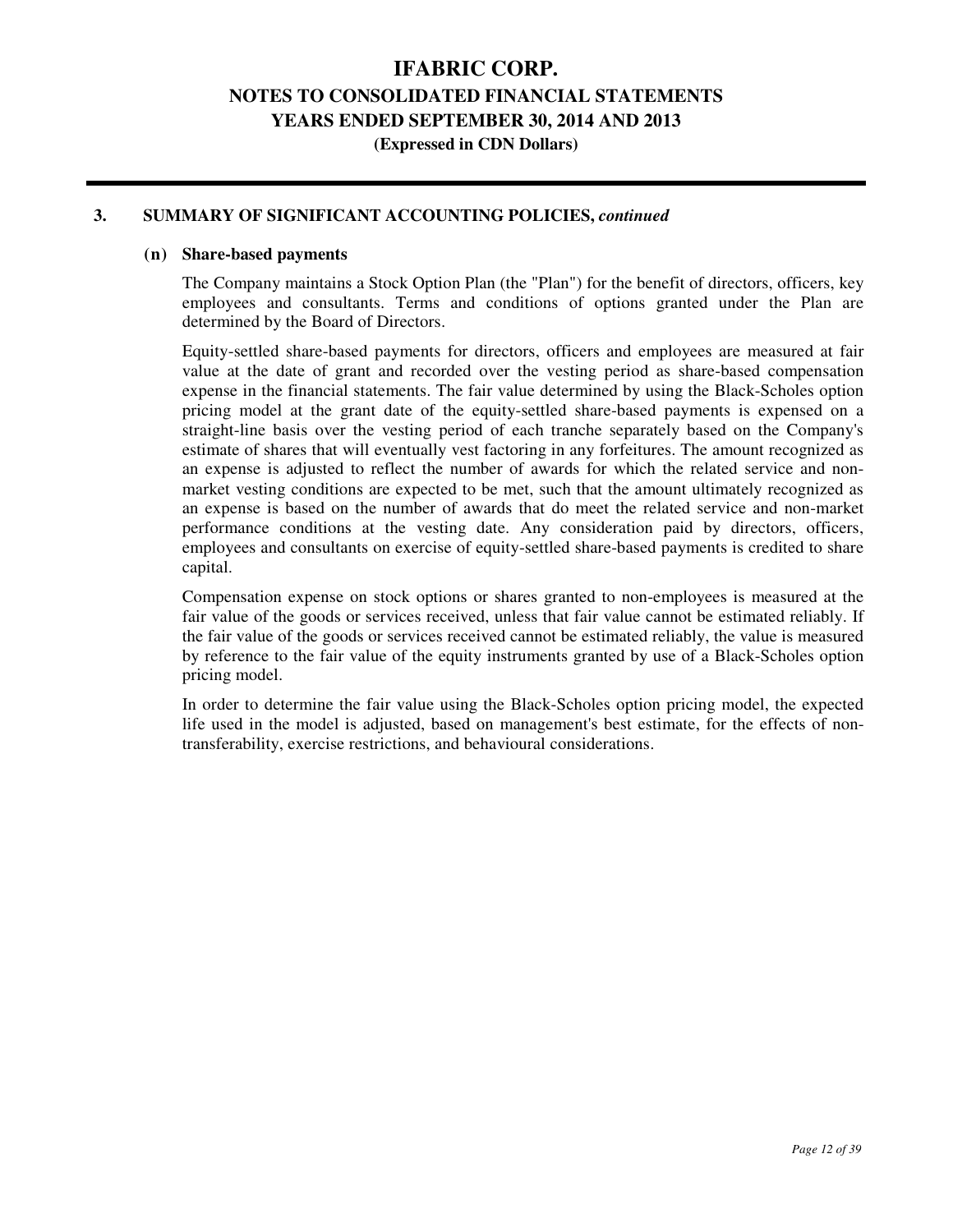**(Expressed in CDN Dollars)** 

#### **3. SUMMARY OF SIGNIFICANT ACCOUNTING POLICIES,** *continued*

#### **(n) Share-based payments**

 The Company maintains a Stock Option Plan (the "Plan") for the benefit of directors, officers, key employees and consultants. Terms and conditions of options granted under the Plan are determined by the Board of Directors.

 Equity-settled share-based payments for directors, officers and employees are measured at fair value at the date of grant and recorded over the vesting period as share-based compensation expense in the financial statements. The fair value determined by using the Black-Scholes option pricing model at the grant date of the equity-settled share-based payments is expensed on a straight-line basis over the vesting period of each tranche separately based on the Company's estimate of shares that will eventually vest factoring in any forfeitures. The amount recognized as an expense is adjusted to reflect the number of awards for which the related service and nonmarket vesting conditions are expected to be met, such that the amount ultimately recognized as an expense is based on the number of awards that do meet the related service and non-market performance conditions at the vesting date. Any consideration paid by directors, officers, employees and consultants on exercise of equity-settled share-based payments is credited to share capital.

 Compensation expense on stock options or shares granted to non-employees is measured at the fair value of the goods or services received, unless that fair value cannot be estimated reliably. If the fair value of the goods or services received cannot be estimated reliably, the value is measured by reference to the fair value of the equity instruments granted by use of a Black-Scholes option pricing model.

 In order to determine the fair value using the Black-Scholes option pricing model, the expected life used in the model is adjusted, based on management's best estimate, for the effects of nontransferability, exercise restrictions, and behavioural considerations.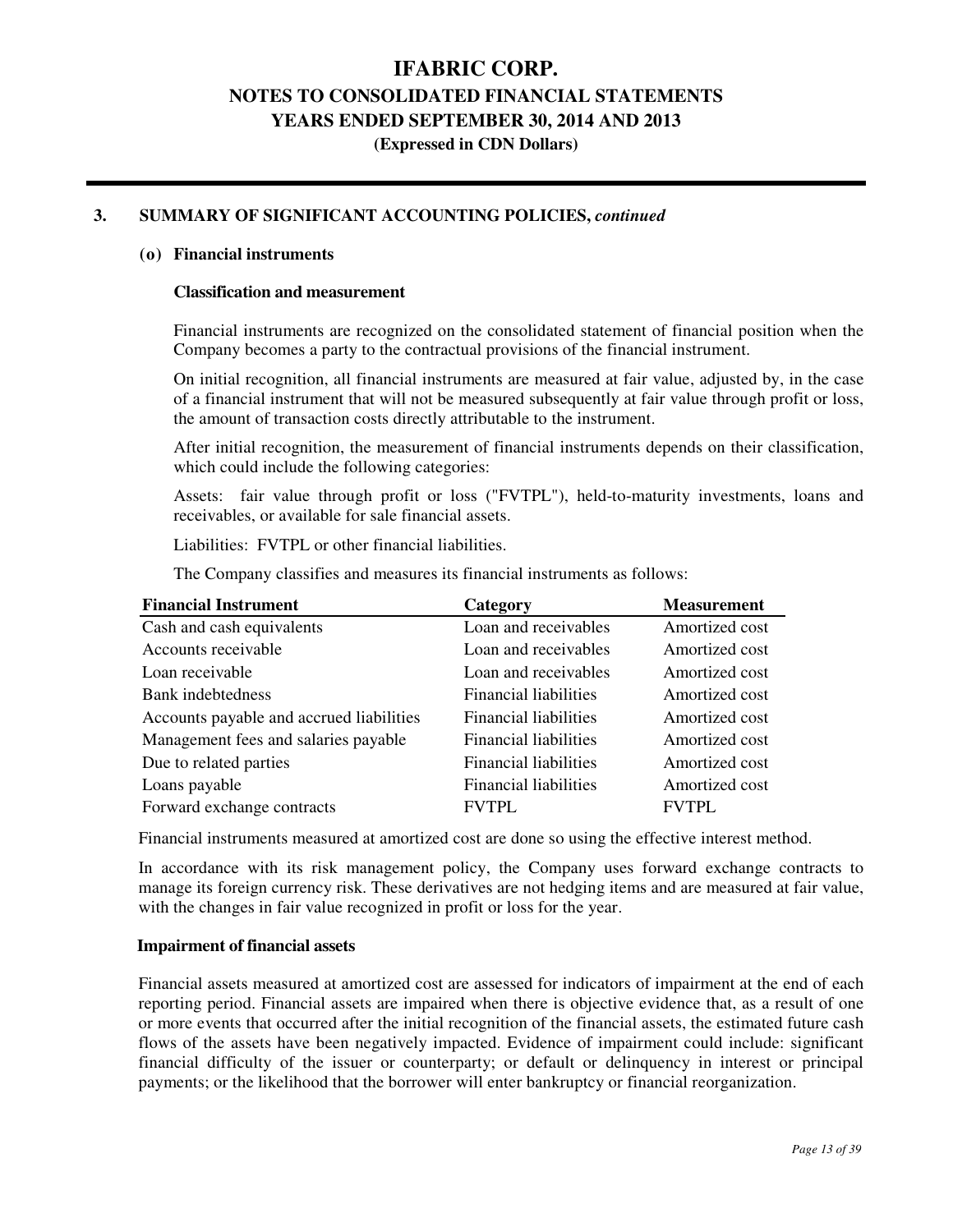### **IFABRIC CORP. NOTES TO CONSOLIDATED FINANCIAL STATEMENTS**

### **YEARS ENDED SEPTEMBER 30, 2014 AND 2013**

**(Expressed in CDN Dollars)** 

### **3. SUMMARY OF SIGNIFICANT ACCOUNTING POLICIES,** *continued*

#### **(o) Financial instruments**

#### **Classification and measurement**

 Financial instruments are recognized on the consolidated statement of financial position when the Company becomes a party to the contractual provisions of the financial instrument.

 On initial recognition, all financial instruments are measured at fair value, adjusted by, in the case of a financial instrument that will not be measured subsequently at fair value through profit or loss, the amount of transaction costs directly attributable to the instrument.

 After initial recognition, the measurement of financial instruments depends on their classification, which could include the following categories:

 Assets: fair value through profit or loss ("FVTPL"), held-to-maturity investments, loans and receivables, or available for sale financial assets.

Liabilities: FVTPL or other financial liabilities.

The Company classifies and measures its financial instruments as follows:

| <b>Financial Instrument</b>              | Category                     | <b>Measurement</b> |
|------------------------------------------|------------------------------|--------------------|
| Cash and cash equivalents                | Loan and receivables         | Amortized cost     |
| Accounts receivable                      | Loan and receivables         | Amortized cost     |
| Loan receivable                          | Loan and receivables         | Amortized cost     |
| Bank indebtedness                        | <b>Financial liabilities</b> | Amortized cost     |
| Accounts payable and accrued liabilities | <b>Financial liabilities</b> | Amortized cost     |
| Management fees and salaries payable     | <b>Financial liabilities</b> | Amortized cost     |
| Due to related parties                   | <b>Financial liabilities</b> | Amortized cost     |
| Loans payable                            | <b>Financial liabilities</b> | Amortized cost     |
| Forward exchange contracts               | <b>FVTPL</b>                 | <b>FVTPL</b>       |

Financial instruments measured at amortized cost are done so using the effective interest method.

In accordance with its risk management policy, the Company uses forward exchange contracts to manage its foreign currency risk. These derivatives are not hedging items and are measured at fair value, with the changes in fair value recognized in profit or loss for the year.

#### **Impairment of financial assets**

Financial assets measured at amortized cost are assessed for indicators of impairment at the end of each reporting period. Financial assets are impaired when there is objective evidence that, as a result of one or more events that occurred after the initial recognition of the financial assets, the estimated future cash flows of the assets have been negatively impacted. Evidence of impairment could include: significant financial difficulty of the issuer or counterparty; or default or delinquency in interest or principal payments; or the likelihood that the borrower will enter bankruptcy or financial reorganization.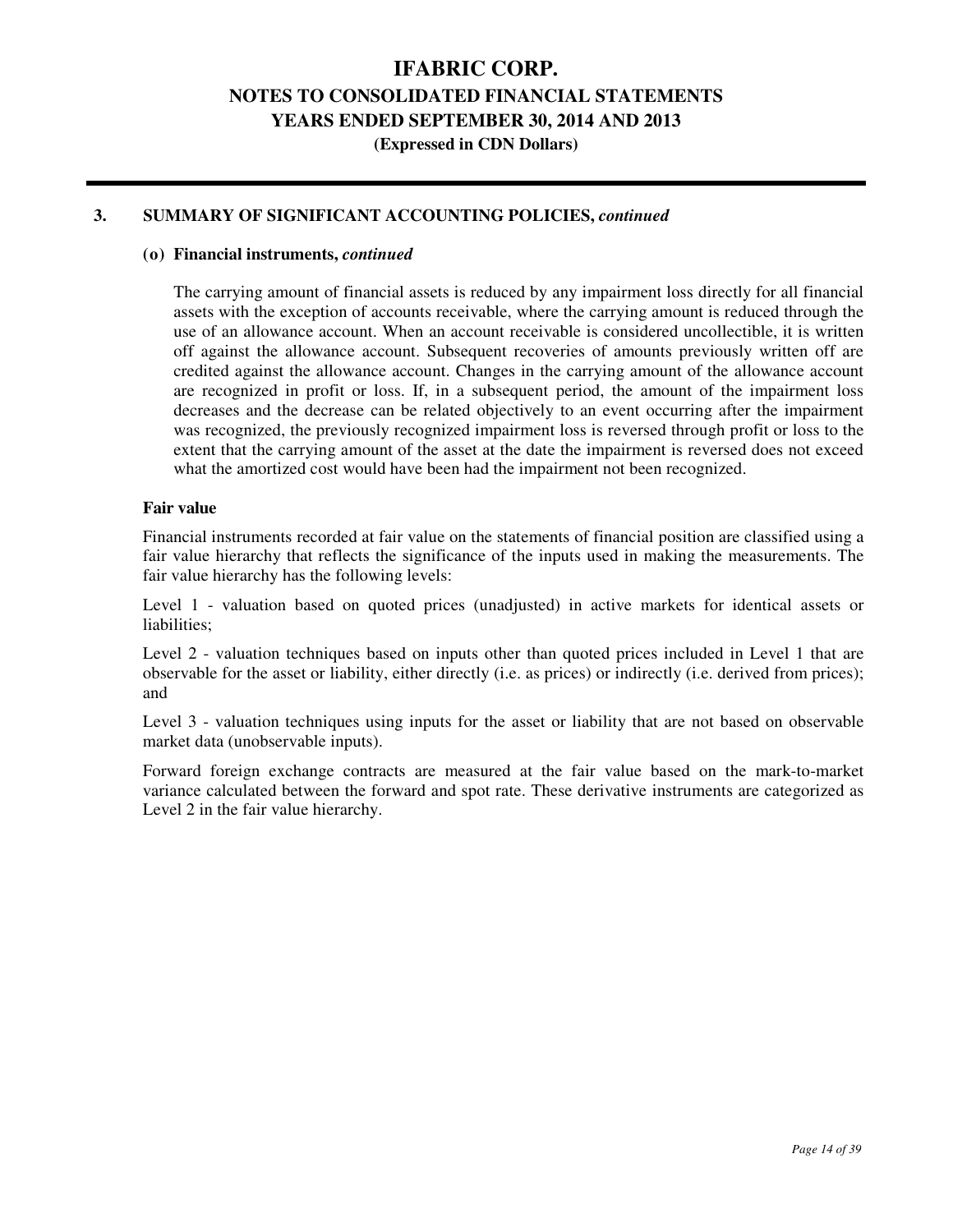**(Expressed in CDN Dollars)** 

#### **3. SUMMARY OF SIGNIFICANT ACCOUNTING POLICIES,** *continued*

#### **(o) Financial instruments,** *continued*

 The carrying amount of financial assets is reduced by any impairment loss directly for all financial assets with the exception of accounts receivable, where the carrying amount is reduced through the use of an allowance account. When an account receivable is considered uncollectible, it is written off against the allowance account. Subsequent recoveries of amounts previously written off are credited against the allowance account. Changes in the carrying amount of the allowance account are recognized in profit or loss. If, in a subsequent period, the amount of the impairment loss decreases and the decrease can be related objectively to an event occurring after the impairment was recognized, the previously recognized impairment loss is reversed through profit or loss to the extent that the carrying amount of the asset at the date the impairment is reversed does not exceed what the amortized cost would have been had the impairment not been recognized.

#### **Fair value**

Financial instruments recorded at fair value on the statements of financial position are classified using a fair value hierarchy that reflects the significance of the inputs used in making the measurements. The fair value hierarchy has the following levels:

Level 1 - valuation based on quoted prices (unadjusted) in active markets for identical assets or liabilities;

Level 2 - valuation techniques based on inputs other than quoted prices included in Level 1 that are observable for the asset or liability, either directly (i.e. as prices) or indirectly (i.e. derived from prices); and

Level 3 - valuation techniques using inputs for the asset or liability that are not based on observable market data (unobservable inputs).

Forward foreign exchange contracts are measured at the fair value based on the mark-to-market variance calculated between the forward and spot rate. These derivative instruments are categorized as Level 2 in the fair value hierarchy.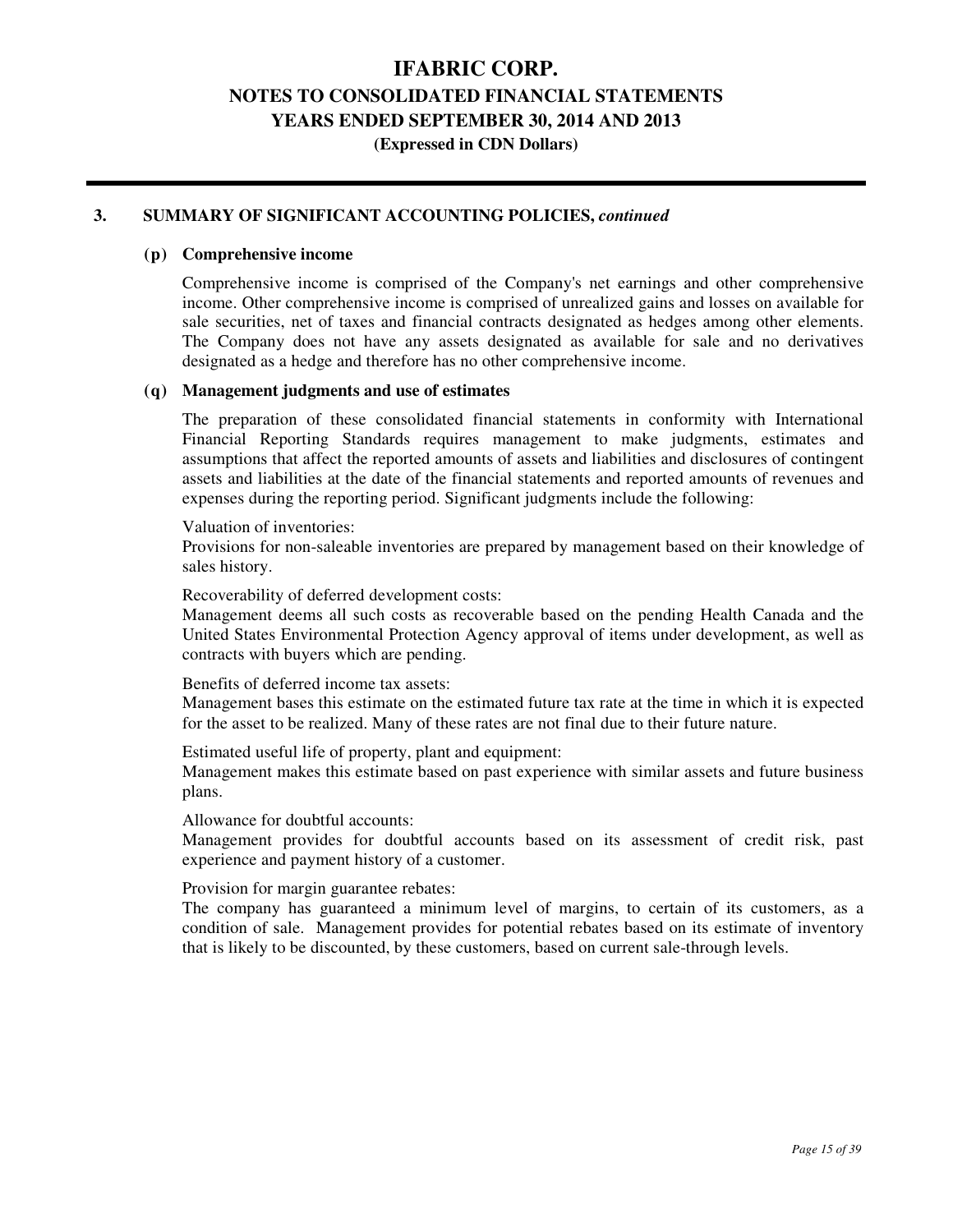### **IFABRIC CORP.**

### **NOTES TO CONSOLIDATED FINANCIAL STATEMENTS**

**YEARS ENDED SEPTEMBER 30, 2014 AND 2013** 

**(Expressed in CDN Dollars)** 

#### **3. SUMMARY OF SIGNIFICANT ACCOUNTING POLICIES,** *continued*

#### **(p) Comprehensive income**

 Comprehensive income is comprised of the Company's net earnings and other comprehensive income. Other comprehensive income is comprised of unrealized gains and losses on available for sale securities, net of taxes and financial contracts designated as hedges among other elements. The Company does not have any assets designated as available for sale and no derivatives designated as a hedge and therefore has no other comprehensive income.

#### **(q) Management judgments and use of estimates**

 The preparation of these consolidated financial statements in conformity with International Financial Reporting Standards requires management to make judgments, estimates and assumptions that affect the reported amounts of assets and liabilities and disclosures of contingent assets and liabilities at the date of the financial statements and reported amounts of revenues and expenses during the reporting period. Significant judgments include the following:

Valuation of inventories:

 Provisions for non-saleable inventories are prepared by management based on their knowledge of sales history.

Recoverability of deferred development costs:

 Management deems all such costs as recoverable based on the pending Health Canada and the United States Environmental Protection Agency approval of items under development, as well as contracts with buyers which are pending.

Benefits of deferred income tax assets:

 Management bases this estimate on the estimated future tax rate at the time in which it is expected for the asset to be realized. Many of these rates are not final due to their future nature.

Estimated useful life of property, plant and equipment:

 Management makes this estimate based on past experience with similar assets and future business plans.

#### Allowance for doubtful accounts:

 Management provides for doubtful accounts based on its assessment of credit risk, past experience and payment history of a customer.

#### Provision for margin guarantee rebates:

 The company has guaranteed a minimum level of margins, to certain of its customers, as a condition of sale. Management provides for potential rebates based on its estimate of inventory that is likely to be discounted, by these customers, based on current sale-through levels.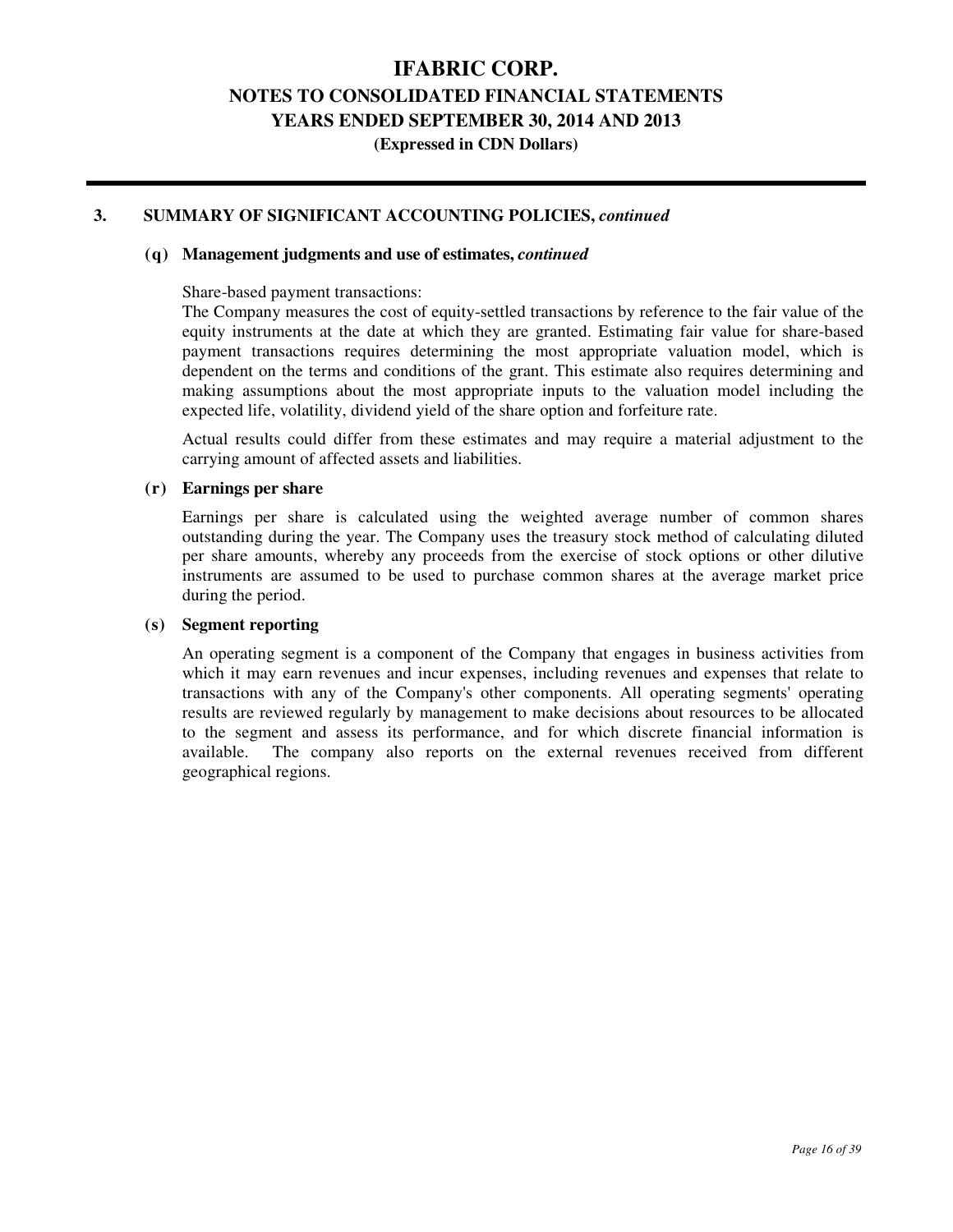### **IFABRIC CORP.**

### **NOTES TO CONSOLIDATED FINANCIAL STATEMENTS**

**YEARS ENDED SEPTEMBER 30, 2014 AND 2013** 

**(Expressed in CDN Dollars)** 

#### **3. SUMMARY OF SIGNIFICANT ACCOUNTING POLICIES,** *continued*

#### **(q) Management judgments and use of estimates,** *continued*

Share-based payment transactions:

 The Company measures the cost of equity-settled transactions by reference to the fair value of the equity instruments at the date at which they are granted. Estimating fair value for share-based payment transactions requires determining the most appropriate valuation model, which is dependent on the terms and conditions of the grant. This estimate also requires determining and making assumptions about the most appropriate inputs to the valuation model including the expected life, volatility, dividend yield of the share option and forfeiture rate.

 Actual results could differ from these estimates and may require a material adjustment to the carrying amount of affected assets and liabilities.

#### **(r) Earnings per share**

Earnings per share is calculated using the weighted average number of common shares outstanding during the year. The Company uses the treasury stock method of calculating diluted per share amounts, whereby any proceeds from the exercise of stock options or other dilutive instruments are assumed to be used to purchase common shares at the average market price during the period.

#### **(s) Segment reporting**

 An operating segment is a component of the Company that engages in business activities from which it may earn revenues and incur expenses, including revenues and expenses that relate to transactions with any of the Company's other components. All operating segments' operating results are reviewed regularly by management to make decisions about resources to be allocated to the segment and assess its performance, and for which discrete financial information is available. The company also reports on the external revenues received from different geographical regions.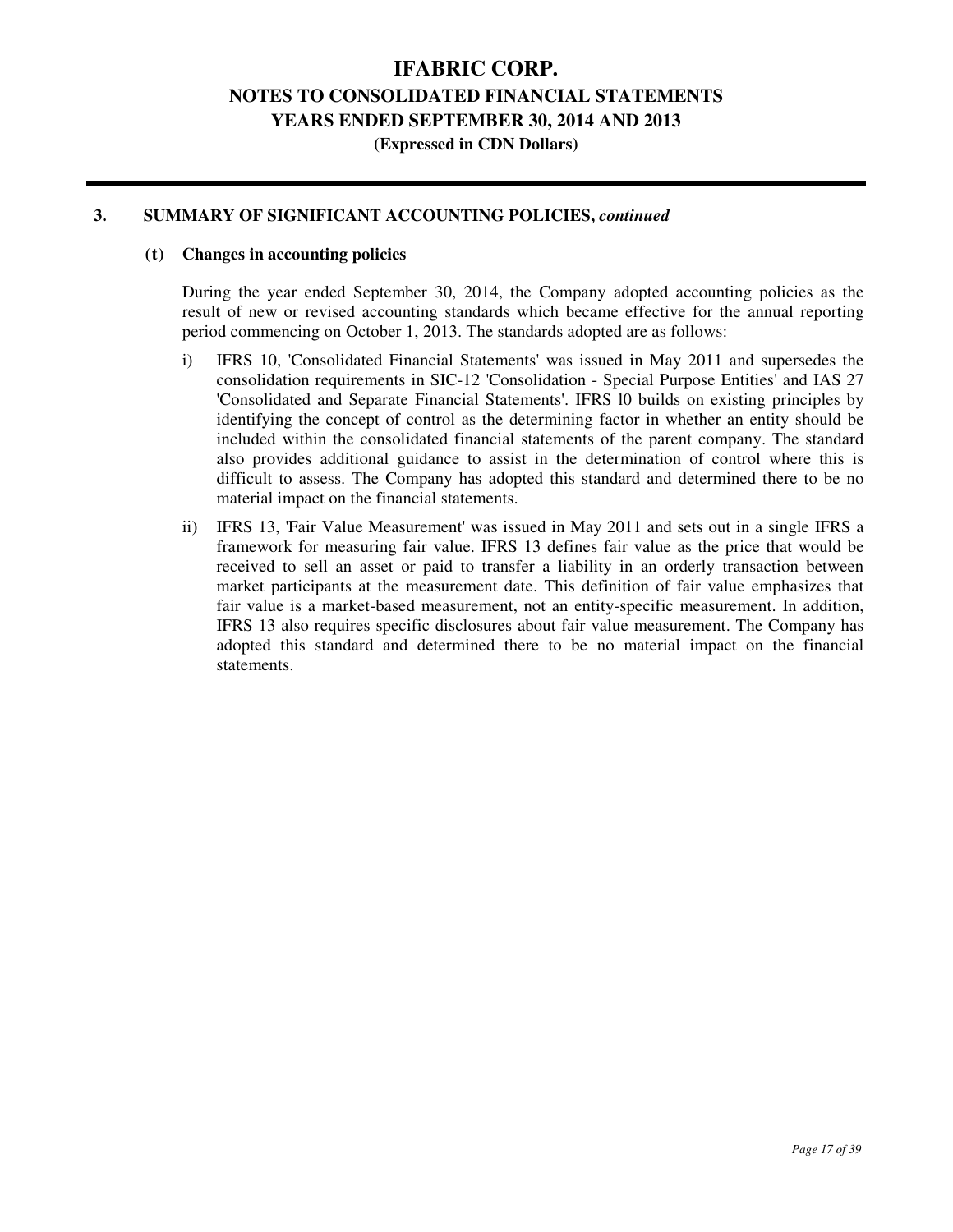#### **3. SUMMARY OF SIGNIFICANT ACCOUNTING POLICIES,** *continued*

#### **(t) Changes in accounting policies**

 During the year ended September 30, 2014, the Company adopted accounting policies as the result of new or revised accounting standards which became effective for the annual reporting period commencing on October 1, 2013. The standards adopted are as follows:

- i) IFRS 10, 'Consolidated Financial Statements' was issued in May 2011 and supersedes the consolidation requirements in SIC-12 'Consolidation - Special Purpose Entities' and IAS 27 'Consolidated and Separate Financial Statements'. IFRS l0 builds on existing principles by identifying the concept of control as the determining factor in whether an entity should be included within the consolidated financial statements of the parent company. The standard also provides additional guidance to assist in the determination of control where this is difficult to assess. The Company has adopted this standard and determined there to be no material impact on the financial statements.
- ii) IFRS 13, 'Fair Value Measurement' was issued in May 2011 and sets out in a single IFRS a framework for measuring fair value. IFRS 13 defines fair value as the price that would be received to sell an asset or paid to transfer a liability in an orderly transaction between market participants at the measurement date. This definition of fair value emphasizes that fair value is a market-based measurement, not an entity-specific measurement. In addition, IFRS 13 also requires specific disclosures about fair value measurement. The Company has adopted this standard and determined there to be no material impact on the financial statements.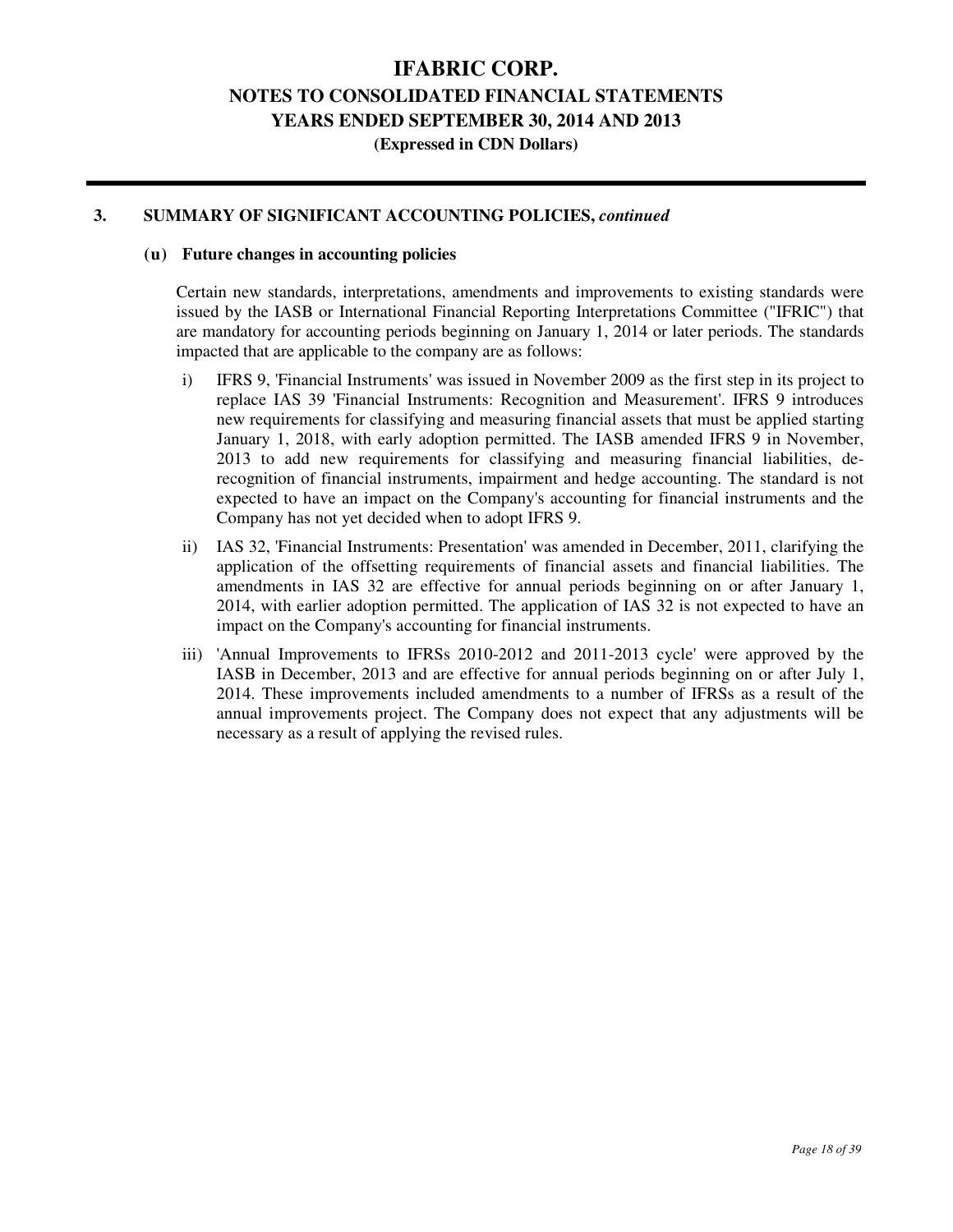**(Expressed in CDN Dollars)** 

#### **3. SUMMARY OF SIGNIFICANT ACCOUNTING POLICIES,** *continued*

#### **(u) Future changes in accounting policies**

Certain new standards, interpretations, amendments and improvements to existing standards were issued by the IASB or International Financial Reporting Interpretations Committee ("IFRIC") that are mandatory for accounting periods beginning on January 1, 2014 or later periods. The standards impacted that are applicable to the company are as follows:

- i) IFRS 9, 'Financial Instruments' was issued in November 2009 as the first step in its project to replace IAS 39 'Financial Instruments: Recognition and Measurement'. IFRS 9 introduces new requirements for classifying and measuring financial assets that must be applied starting January 1, 2018, with early adoption permitted. The IASB amended IFRS 9 in November, 2013 to add new requirements for classifying and measuring financial liabilities, derecognition of financial instruments, impairment and hedge accounting. The standard is not expected to have an impact on the Company's accounting for financial instruments and the Company has not yet decided when to adopt IFRS 9.
- ii) IAS 32, 'Financial Instruments: Presentation' was amended in December, 2011, clarifying the application of the offsetting requirements of financial assets and financial liabilities. The amendments in IAS 32 are effective for annual periods beginning on or after January 1, 2014, with earlier adoption permitted. The application of IAS 32 is not expected to have an impact on the Company's accounting for financial instruments.
- iii) 'Annual Improvements to IFRSs 2010-2012 and 2011-2013 cycle' were approved by the IASB in December, 2013 and are effective for annual periods beginning on or after July 1, 2014. These improvements included amendments to a number of IFRSs as a result of the annual improvements project. The Company does not expect that any adjustments will be necessary as a result of applying the revised rules.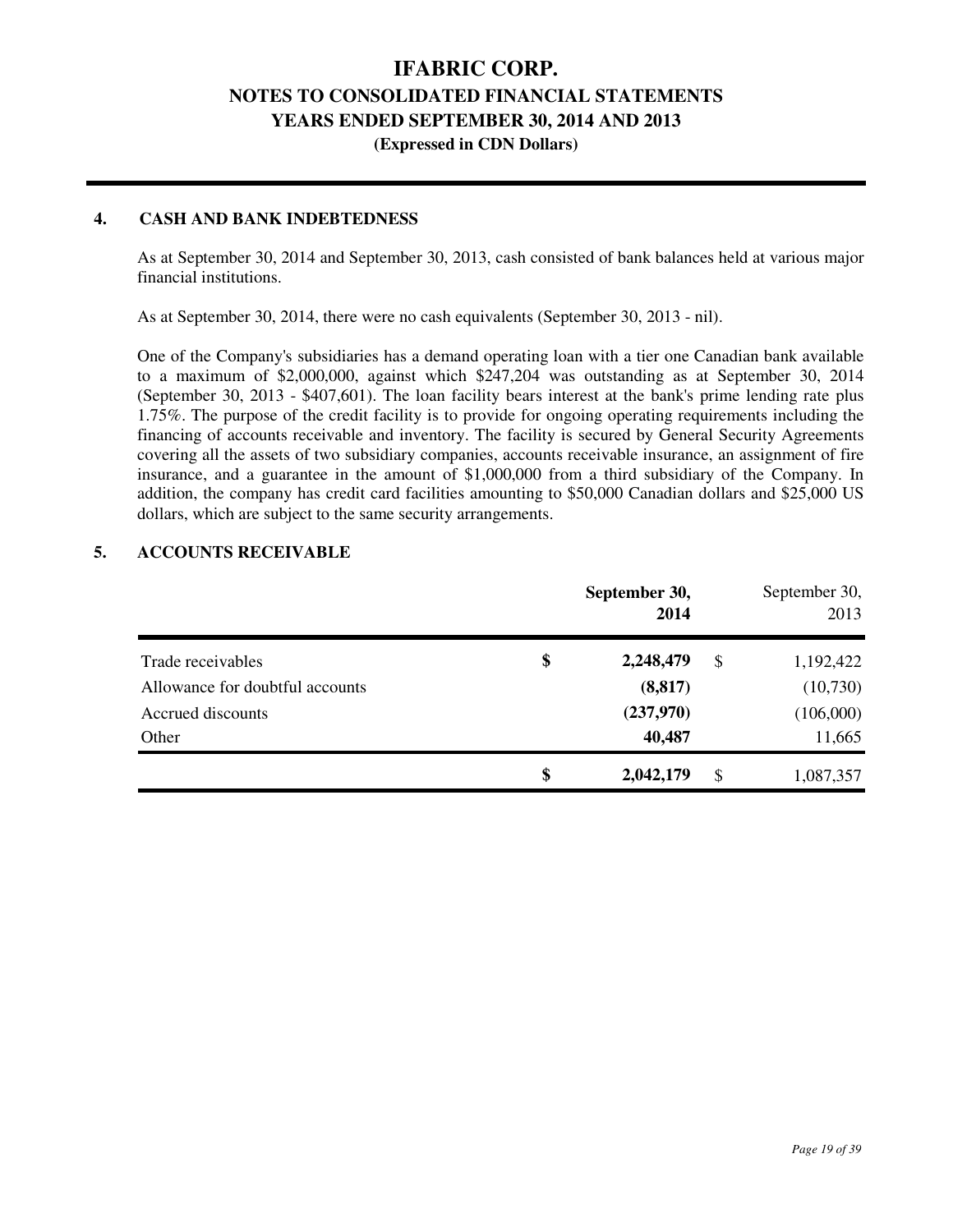### **(Expressed in CDN Dollars)**

#### **4. CASH AND BANK INDEBTEDNESS**

As at September 30, 2014 and September 30, 2013, cash consisted of bank balances held at various major financial institutions.

As at September 30, 2014, there were no cash equivalents (September 30, 2013 - nil).

One of the Company's subsidiaries has a demand operating loan with a tier one Canadian bank available to a maximum of \$2,000,000, against which \$247,204 was outstanding as at September 30, 2014 (September 30, 2013 - \$407,601). The loan facility bears interest at the bank's prime lending rate plus 1.75%. The purpose of the credit facility is to provide for ongoing operating requirements including the financing of accounts receivable and inventory. The facility is secured by General Security Agreements covering all the assets of two subsidiary companies, accounts receivable insurance, an assignment of fire insurance, and a guarantee in the amount of \$1,000,000 from a third subsidiary of the Company. In addition, the company has credit card facilities amounting to \$50,000 Canadian dollars and \$25,000 US dollars, which are subject to the same security arrangements.

### **5. ACCOUNTS RECEIVABLE**

|                                 | September 30,<br>2014 |    | September 30,<br>2013 |
|---------------------------------|-----------------------|----|-----------------------|
| Trade receivables               | \$<br>2,248,479       | S  | 1,192,422             |
| Allowance for doubtful accounts | (8, 817)              |    | (10,730)              |
| Accrued discounts               | (237,970)             |    | (106,000)             |
| Other                           | 40,487                |    | 11,665                |
|                                 | \$<br>2,042,179       | \$ | 1,087,357             |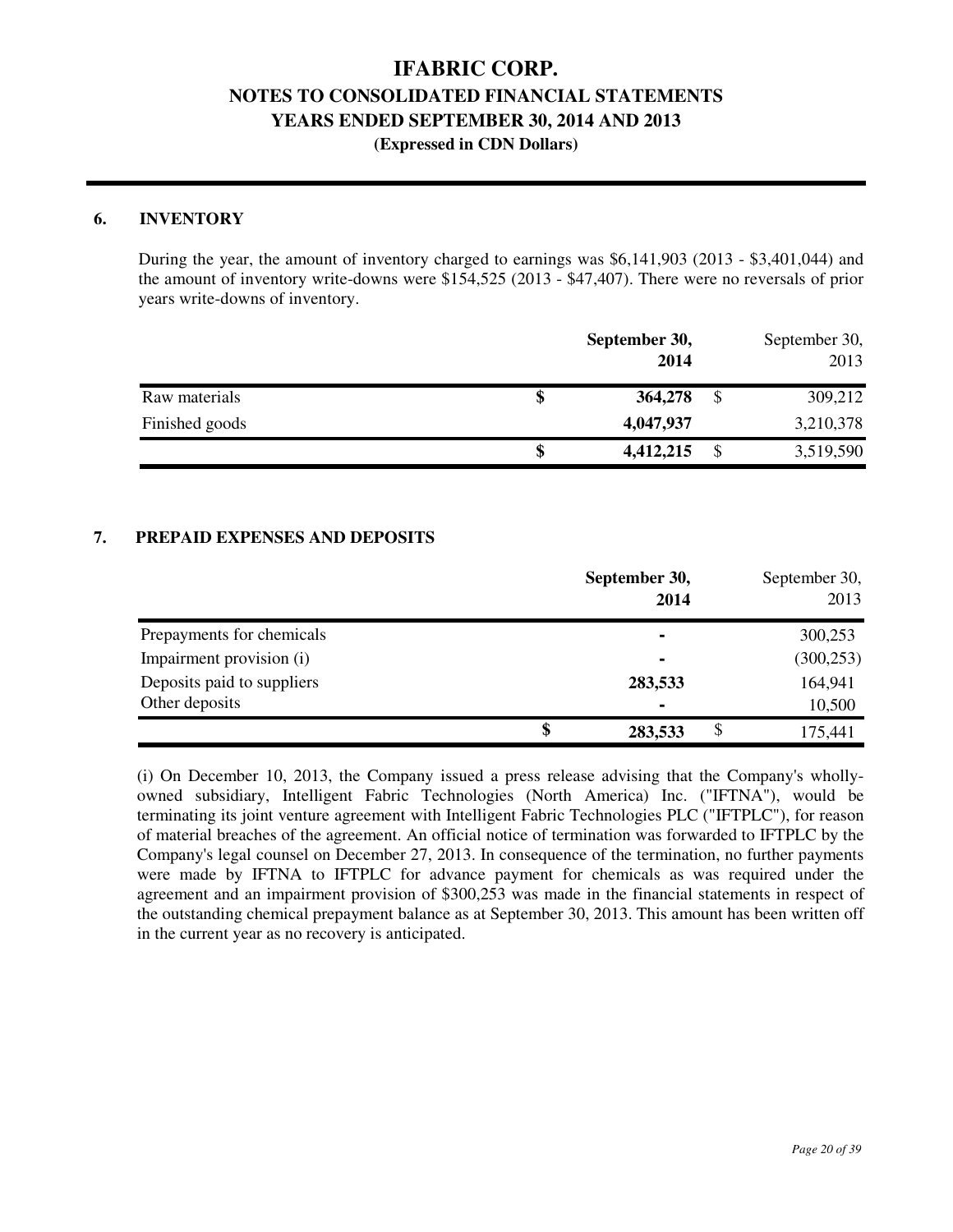#### **6. INVENTORY**

During the year, the amount of inventory charged to earnings was \$6,141,903 (2013 - \$3,401,044) and the amount of inventory write-downs were \$154,525 (2013 - \$47,407). There were no reversals of prior years write-downs of inventory.

|                | September 30,<br>2014 | September 30,<br>2013 |
|----------------|-----------------------|-----------------------|
| Raw materials  | 364,278               | \$<br>309,212         |
| Finished goods | 4,047,937             | 3,210,378             |
|                | 4,412,215             | \$<br>3,519,590       |

#### **7. PREPAID EXPENSES AND DEPOSITS**

|                            | September 30,<br>2014 | September 30,<br>2013 |
|----------------------------|-----------------------|-----------------------|
| Prepayments for chemicals  | ۰                     | 300,253               |
| Impairment provision (i)   | ۰                     | (300, 253)            |
| Deposits paid to suppliers | 283,533               | 164,941               |
| Other deposits             | ۰                     | 10,500                |
|                            | \$<br>283,533         | 175,441               |

(i) On December 10, 2013, the Company issued a press release advising that the Company's whollyowned subsidiary, Intelligent Fabric Technologies (North America) Inc. ("IFTNA"), would be terminating its joint venture agreement with Intelligent Fabric Technologies PLC ("IFTPLC"), for reason of material breaches of the agreement. An official notice of termination was forwarded to IFTPLC by the Company's legal counsel on December 27, 2013. In consequence of the termination, no further payments were made by IFTNA to IFTPLC for advance payment for chemicals as was required under the agreement and an impairment provision of \$300,253 was made in the financial statements in respect of the outstanding chemical prepayment balance as at September 30, 2013. This amount has been written off in the current year as no recovery is anticipated.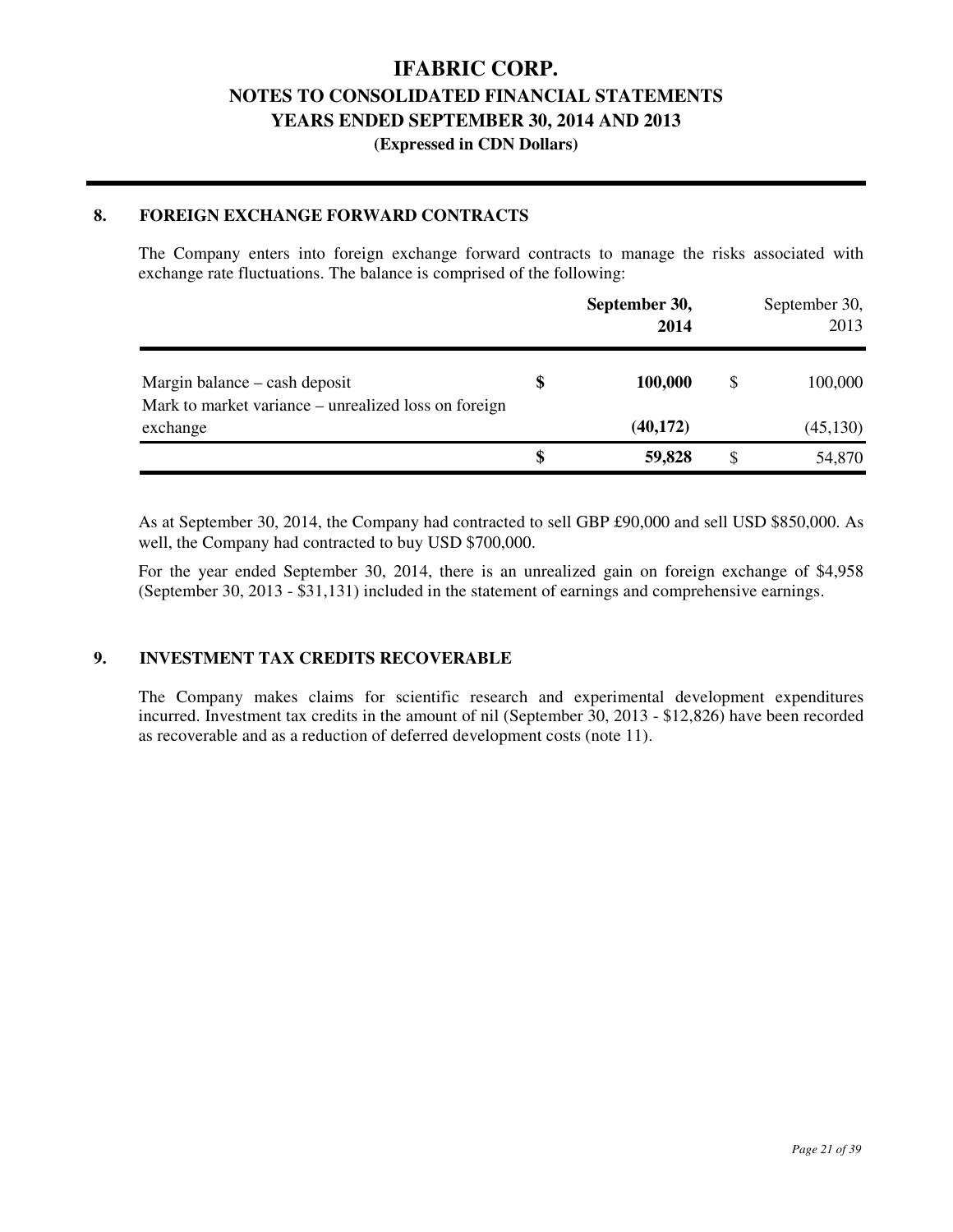### **(Expressed in CDN Dollars)**

### **8. FOREIGN EXCHANGE FORWARD CONTRACTS**

The Company enters into foreign exchange forward contracts to manage the risks associated with exchange rate fluctuations. The balance is comprised of the following:

|                                                                                       | September 30,<br>2014 |   | September 30,<br>2013 |
|---------------------------------------------------------------------------------------|-----------------------|---|-----------------------|
| Margin balance – cash deposit<br>Mark to market variance – unrealized loss on foreign | \$<br>100,000         | S | 100,000               |
| exchange                                                                              | (40, 172)             |   | (45, 130)             |
|                                                                                       | 59,828                |   | 54,870                |

As at September 30, 2014, the Company had contracted to sell GBP £90,000 and sell USD \$850,000. As well, the Company had contracted to buy USD \$700,000.

For the year ended September 30, 2014, there is an unrealized gain on foreign exchange of \$4,958 (September 30, 2013 - \$31,131) included in the statement of earnings and comprehensive earnings.

#### **9. INVESTMENT TAX CREDITS RECOVERABLE**

The Company makes claims for scientific research and experimental development expenditures incurred. Investment tax credits in the amount of nil (September 30, 2013 - \$12,826) have been recorded as recoverable and as a reduction of deferred development costs (note 11).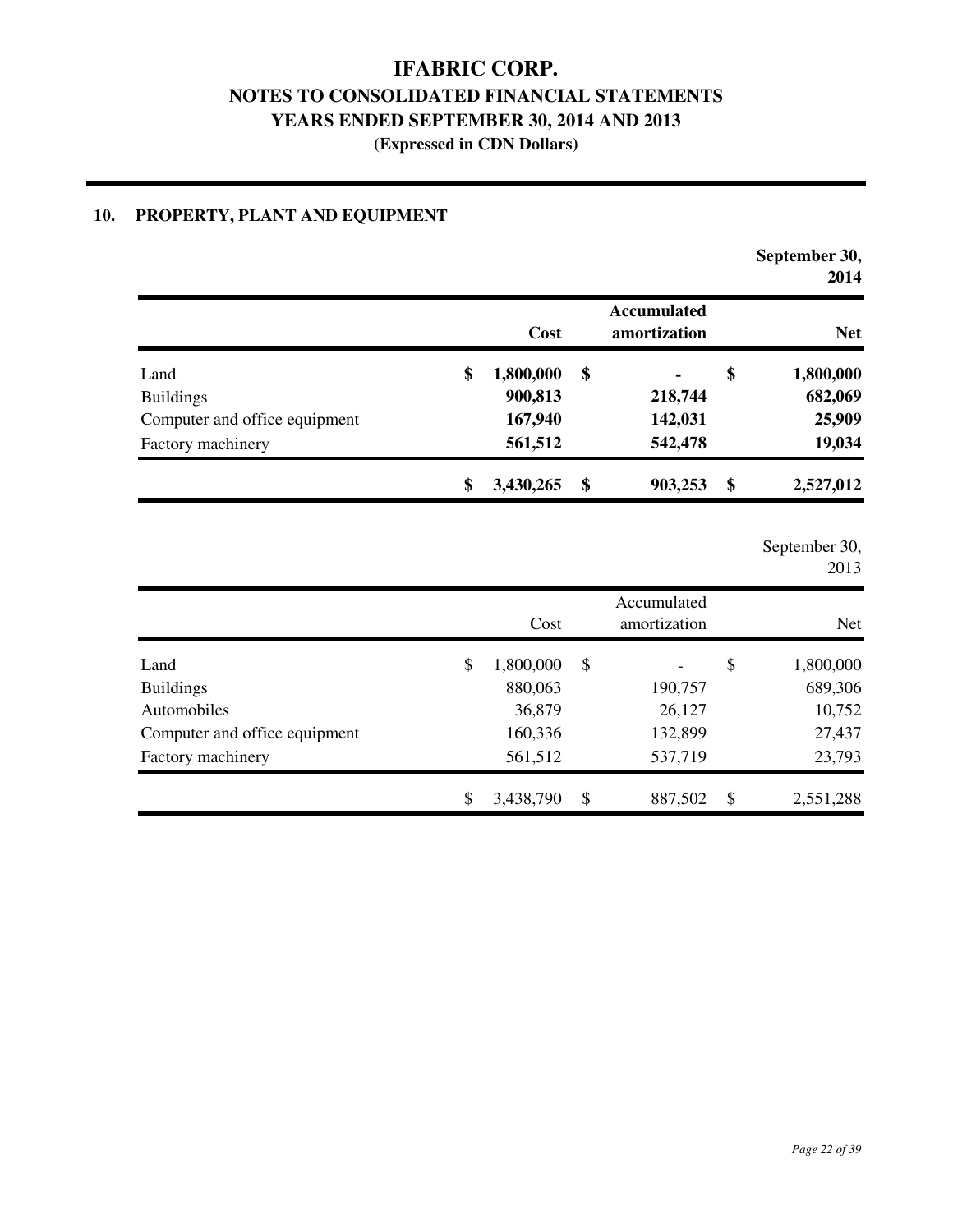**(Expressed in CDN Dollars)** 

### **10. PROPERTY, PLANT AND EQUIPMENT**

|                               |           |                                    |    | September 30,<br>2014 |  |
|-------------------------------|-----------|------------------------------------|----|-----------------------|--|
|                               | Cost      | <b>Accumulated</b><br>amortization |    | <b>Net</b>            |  |
| \$<br>Land                    | 1,800,000 | \$<br>٠                            | \$ | 1,800,000             |  |
| <b>Buildings</b>              | 900,813   | 218,744                            |    | 682,069               |  |
| Computer and office equipment | 167,940   | 142,031                            |    | 25,909                |  |
| Factory machinery             | 561,512   | 542,478                            |    | 19,034                |  |
| \$                            | 3,430,265 | \$<br>903,253                      | \$ | 2,527,012             |  |

September 30,

2013

|                               | Cost            | Accumulated<br>amortization | <b>Net</b>      |
|-------------------------------|-----------------|-----------------------------|-----------------|
| Land                          | \$<br>1,800,000 | \$                          | \$<br>1,800,000 |
| <b>Buildings</b>              | 880,063         | 190,757                     | 689,306         |
| Automobiles                   | 36,879          | 26,127                      | 10,752          |
| Computer and office equipment | 160,336         | 132,899                     | 27,437          |
| Factory machinery             | 561,512         | 537,719                     | 23,793          |
|                               | \$<br>3,438,790 | \$<br>887,502               | \$<br>2,551,288 |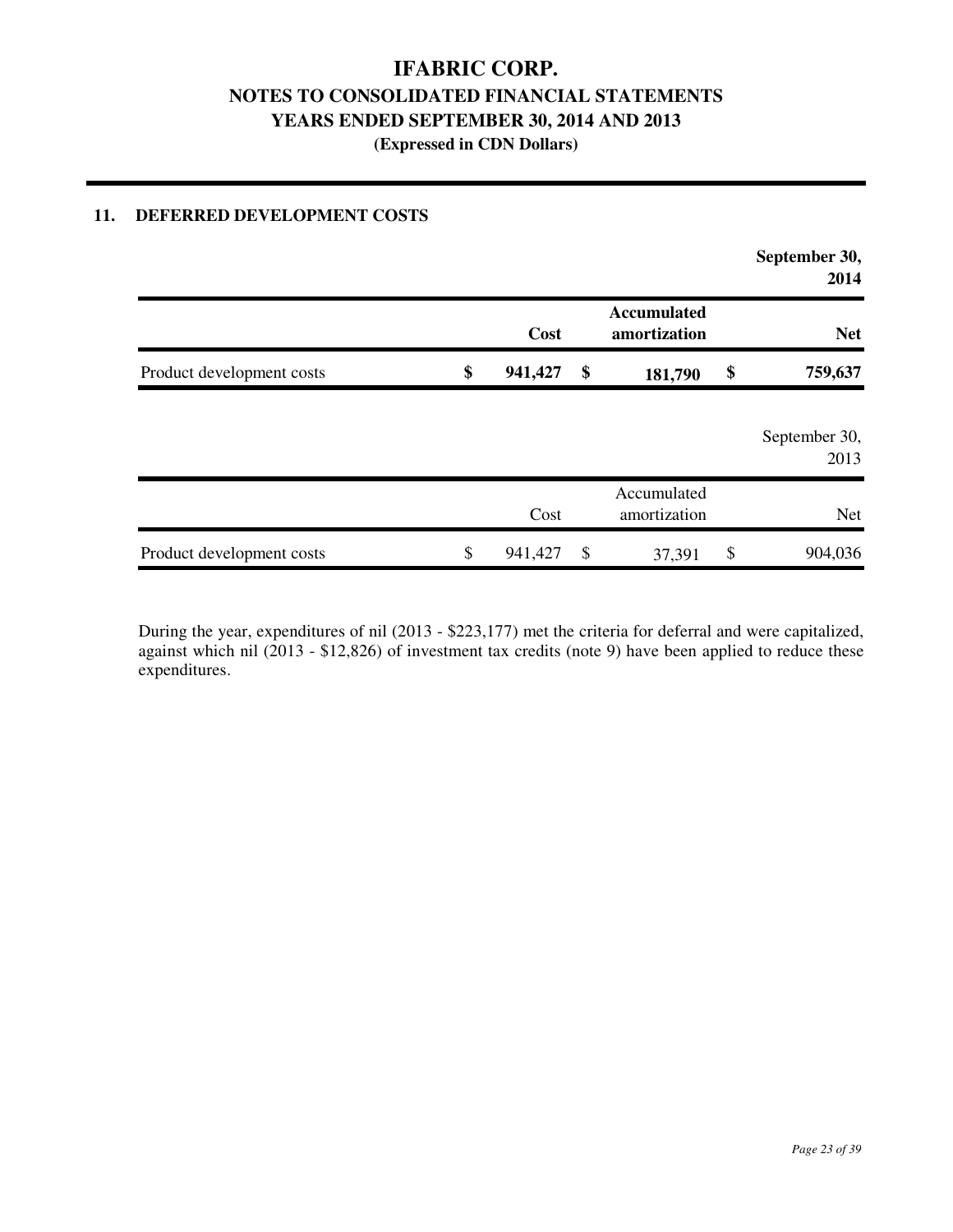### **11. DEFERRED DEVELOPMENT COSTS**

|                           |                                            |    |                             |    | September 30,<br>2014 |
|---------------------------|--------------------------------------------|----|-----------------------------|----|-----------------------|
|                           | <b>Accumulated</b><br>Cost<br>amortization |    | <b>Net</b>                  |    |                       |
| Product development costs | \$<br>941,427                              | \$ | 181,790                     | \$ | 759,637               |
|                           |                                            |    |                             |    | September 30,<br>2013 |
|                           | Cost                                       |    | Accumulated<br>amortization |    | <b>Net</b>            |
| Product development costs | \$<br>941,427                              | \$ | 37,391                      | \$ | 904,036               |

During the year, expenditures of nil (2013 - \$223,177) met the criteria for deferral and were capitalized, against which nil (2013 - \$12,826) of investment tax credits (note 9) have been applied to reduce these expenditures.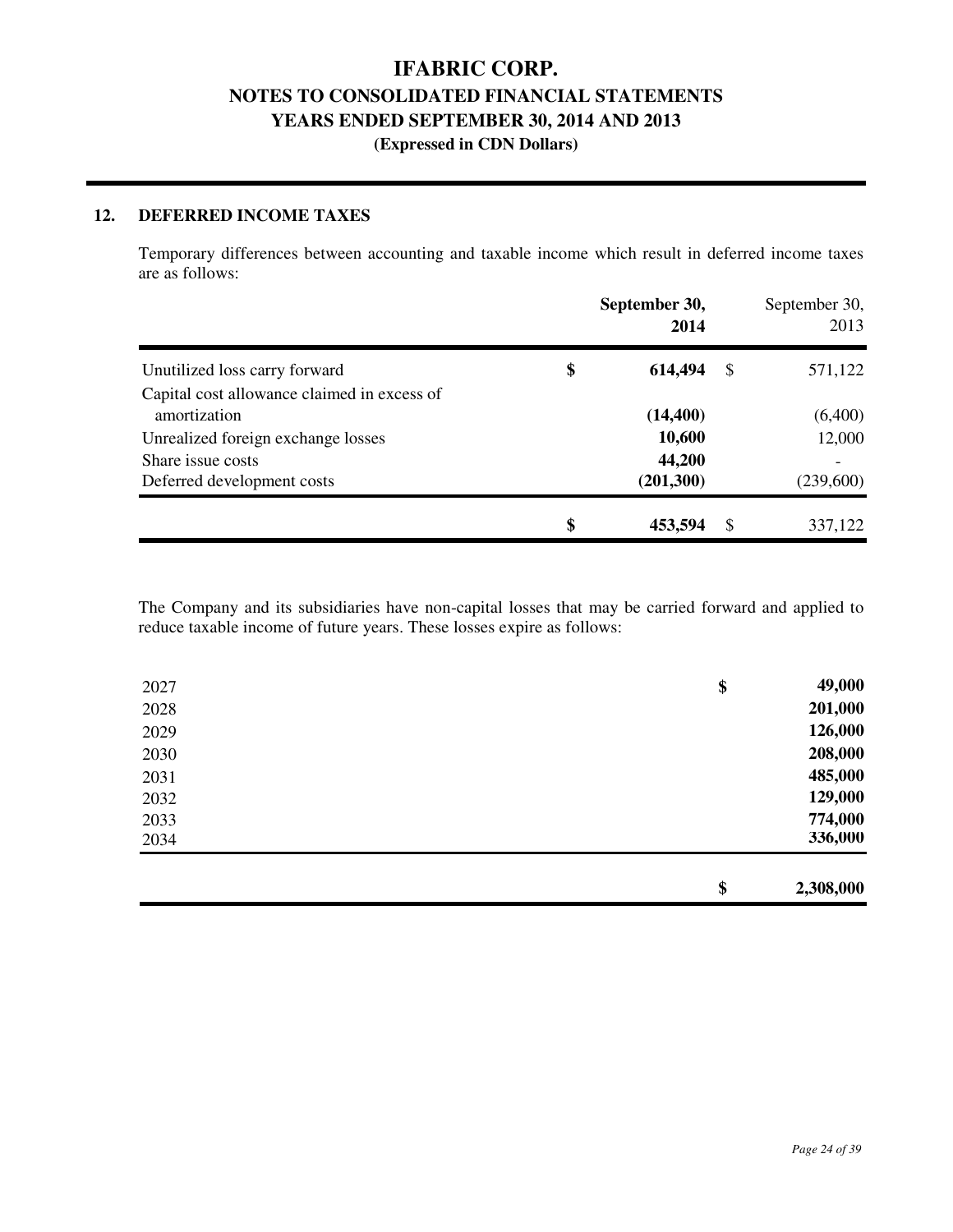#### **12. DEFERRED INCOME TAXES**

Temporary differences between accounting and taxable income which result in deferred income taxes are as follows:

|                                                             | September 30,<br>2014 |    | September 30,<br>2013 |
|-------------------------------------------------------------|-----------------------|----|-----------------------|
| Unutilized loss carry forward                               | \$<br>614,494         | S  | 571,122               |
| Capital cost allowance claimed in excess of<br>amortization | (14, 400)             |    | (6,400)               |
| Unrealized foreign exchange losses                          | 10,600                |    | 12,000                |
| Share issue costs                                           | 44,200                |    |                       |
| Deferred development costs                                  | (201, 300)            |    | (239,600)             |
|                                                             | \$<br>453,594         | \$ | 337,122               |

The Company and its subsidiaries have non-capital losses that may be carried forward and applied to reduce taxable income of future years. These losses expire as follows:

| 126,000<br>208,000 | 2029<br>2030 |
|--------------------|--------------|
| 485,000            | 2031         |
| 129,000            | 2032         |
| 774,000            | 2033         |
| 336,000            | 2034         |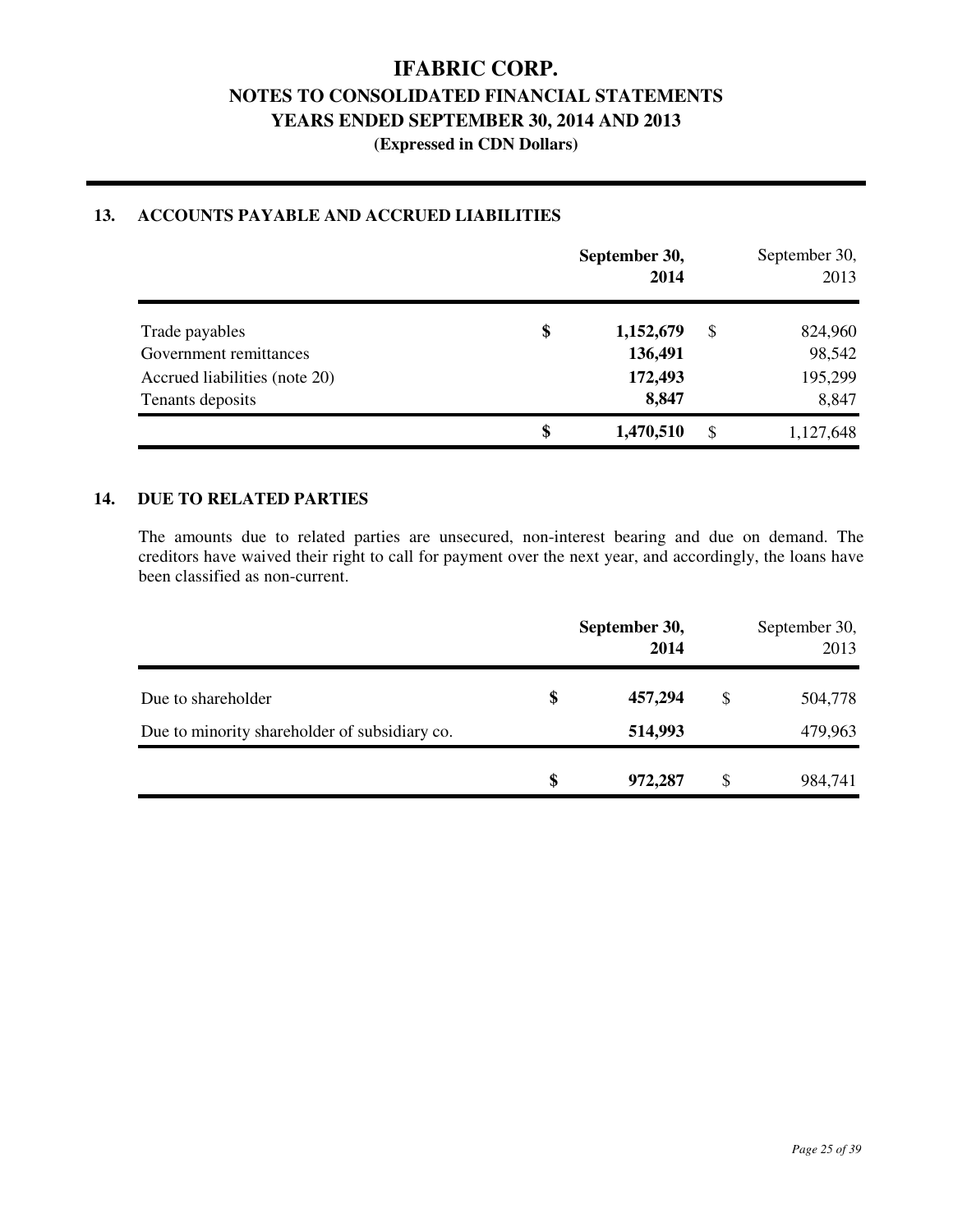|                               | September 30, | September 30,<br>2013 |    |           |
|-------------------------------|---------------|-----------------------|----|-----------|
| Trade payables                | \$            | 1,152,679             | \$ | 824,960   |
| Government remittances        |               | 136,491               |    | 98,542    |
| Accrued liabilities (note 20) |               | 172,493               |    | 195,299   |
| Tenants deposits              |               | 8,847                 |    | 8,847     |
|                               | \$            | 1,470,510             | \$ | 1,127,648 |

### **13. ACCOUNTS PAYABLE AND ACCRUED LIABILITIES**

### **14. DUE TO RELATED PARTIES**

The amounts due to related parties are unsecured, non-interest bearing and due on demand. The creditors have waived their right to call for payment over the next year, and accordingly, the loans have been classified as non-current.

|                                               | September 30,<br>2014 | September 30,<br>2013 |
|-----------------------------------------------|-----------------------|-----------------------|
| Due to shareholder                            | \$<br>457,294         | \$<br>504,778         |
| Due to minority shareholder of subsidiary co. | 514,993               | 479,963               |
|                                               | \$<br>972,287         | \$<br>984,741         |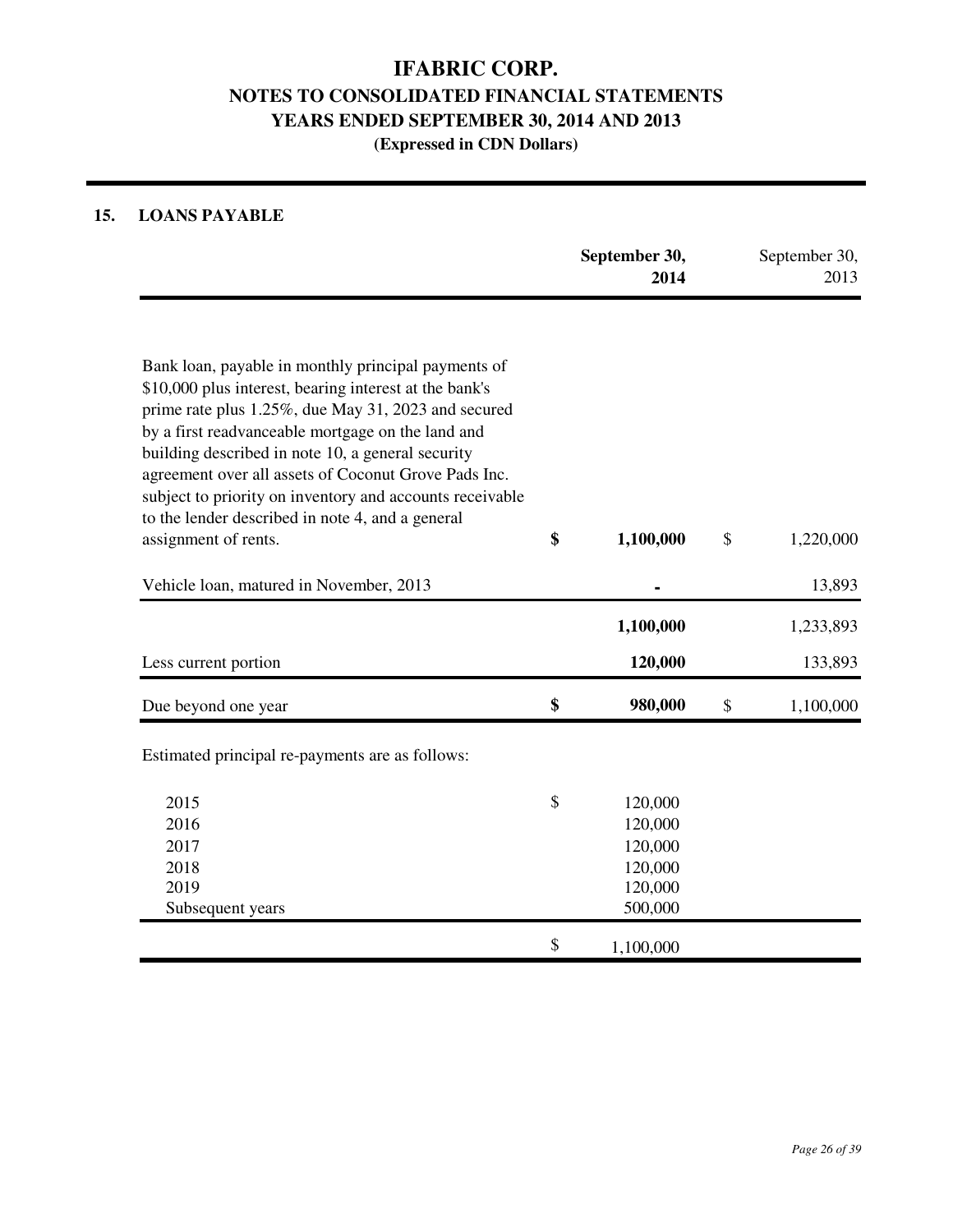### **15. LOANS PAYABLE**

|                                                                                                                                                                                                                                                                                                                                                                                                                                                        | September 30,<br>2014                                                | September 30,<br>2013 |
|--------------------------------------------------------------------------------------------------------------------------------------------------------------------------------------------------------------------------------------------------------------------------------------------------------------------------------------------------------------------------------------------------------------------------------------------------------|----------------------------------------------------------------------|-----------------------|
| Bank loan, payable in monthly principal payments of<br>\$10,000 plus interest, bearing interest at the bank's<br>prime rate plus 1.25%, due May 31, 2023 and secured<br>by a first readvanceable mortgage on the land and<br>building described in note 10, a general security<br>agreement over all assets of Coconut Grove Pads Inc.<br>subject to priority on inventory and accounts receivable<br>to the lender described in note 4, and a general |                                                                      |                       |
| assignment of rents.                                                                                                                                                                                                                                                                                                                                                                                                                                   | \$<br>1,100,000                                                      | \$<br>1,220,000       |
| Vehicle loan, matured in November, 2013                                                                                                                                                                                                                                                                                                                                                                                                                |                                                                      | 13,893                |
|                                                                                                                                                                                                                                                                                                                                                                                                                                                        | 1,100,000                                                            | 1,233,893             |
| Less current portion                                                                                                                                                                                                                                                                                                                                                                                                                                   | 120,000                                                              | 133,893               |
| Due beyond one year                                                                                                                                                                                                                                                                                                                                                                                                                                    | \$<br>980,000                                                        | \$<br>1,100,000       |
| Estimated principal re-payments are as follows:                                                                                                                                                                                                                                                                                                                                                                                                        |                                                                      |                       |
| 2015<br>2016<br>2017<br>2018<br>2019<br>Subsequent years                                                                                                                                                                                                                                                                                                                                                                                               | \$<br>120,000<br>120,000<br>120,000<br>120,000<br>120,000<br>500,000 |                       |
|                                                                                                                                                                                                                                                                                                                                                                                                                                                        | \$<br>1,100,000                                                      |                       |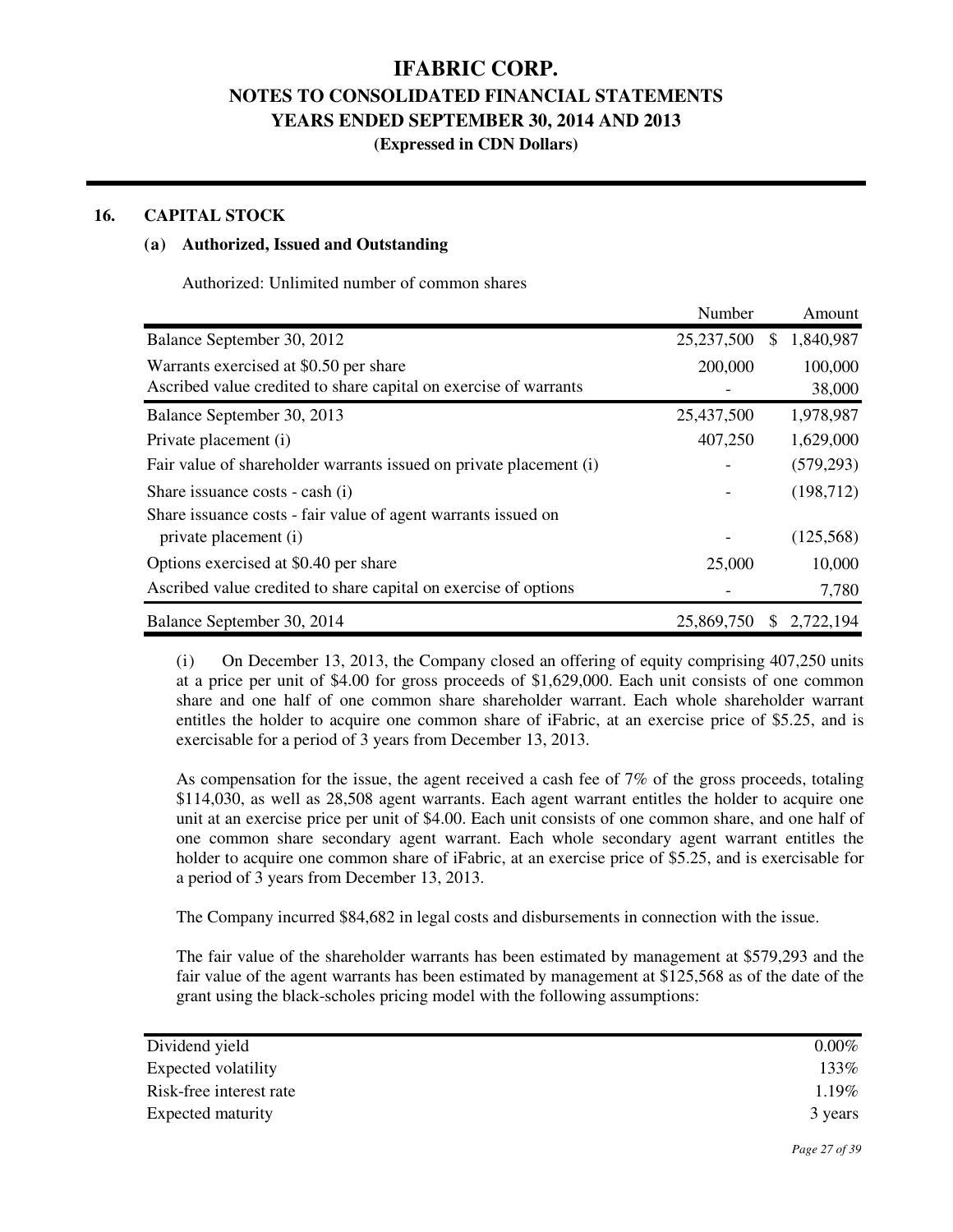**(Expressed in CDN Dollars)** 

#### **16. CAPITAL STOCK**

#### **(a) Authorized, Issued and Outstanding**

Authorized: Unlimited number of common shares

|                                                                    | Number     |    | Amount     |
|--------------------------------------------------------------------|------------|----|------------|
| Balance September 30, 2012                                         | 25,237,500 | S  | 1,840,987  |
| Warrants exercised at \$0.50 per share                             | 200,000    |    | 100,000    |
| Ascribed value credited to share capital on exercise of warrants   |            |    | 38,000     |
| Balance September 30, 2013                                         | 25,437,500 |    | 1,978,987  |
| Private placement (i)                                              | 407,250    |    | 1,629,000  |
| Fair value of shareholder warrants issued on private placement (i) |            |    | (579, 293) |
| Share issuance costs - cash (i)                                    |            |    | (198, 712) |
| Share issuance costs - fair value of agent warrants issued on      |            |    |            |
| private placement (i)                                              |            |    | (125,568)  |
| Options exercised at \$0.40 per share                              | 25,000     |    | 10,000     |
| Ascribed value credited to share capital on exercise of options    |            |    | 7,780      |
| Balance September 30, 2014                                         | 25,869,750 | S. | 2,722,194  |

(i) On December 13, 2013, the Company closed an offering of equity comprising 407,250 units at a price per unit of \$4.00 for gross proceeds of \$1,629,000. Each unit consists of one common share and one half of one common share shareholder warrant. Each whole shareholder warrant entitles the holder to acquire one common share of iFabric, at an exercise price of \$5.25, and is exercisable for a period of 3 years from December 13, 2013.

 As compensation for the issue, the agent received a cash fee of 7% of the gross proceeds, totaling \$114,030, as well as 28,508 agent warrants. Each agent warrant entitles the holder to acquire one unit at an exercise price per unit of \$4.00. Each unit consists of one common share, and one half of one common share secondary agent warrant. Each whole secondary agent warrant entitles the holder to acquire one common share of iFabric, at an exercise price of \$5.25, and is exercisable for a period of 3 years from December 13, 2013.

The Company incurred \$84,682 in legal costs and disbursements in connection with the issue.

 The fair value of the shareholder warrants has been estimated by management at \$579,293 and the fair value of the agent warrants has been estimated by management at \$125,568 as of the date of the grant using the black-scholes pricing model with the following assumptions:

| Dividend yield          | $0.00\%$ |
|-------------------------|----------|
| Expected volatility     | 133%     |
| Risk-free interest rate | 1.19%    |
| Expected maturity       | 3 years  |
|                         |          |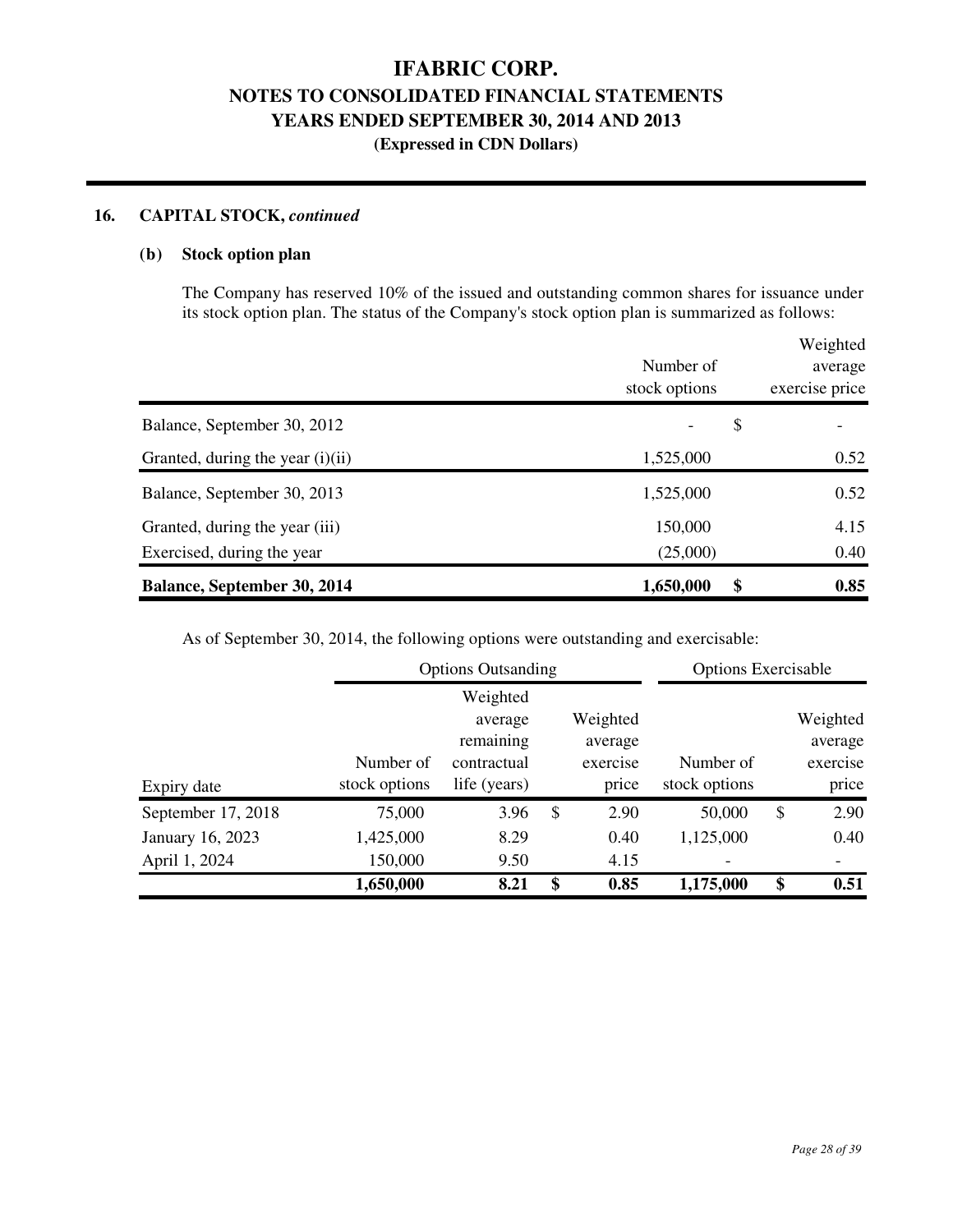### **16. CAPITAL STOCK,** *continued*

#### **(b) Stock option plan**

 The Company has reserved 10% of the issued and outstanding common shares for issuance under its stock option plan. The status of the Company's stock option plan is summarized as follows:

|                                    |                                | Weighted       |  |  |
|------------------------------------|--------------------------------|----------------|--|--|
|                                    | Number of                      | average        |  |  |
|                                    | stock options                  | exercise price |  |  |
| Balance, September 30, 2012        | \$<br>$\overline{\phantom{a}}$ |                |  |  |
| Granted, during the year $(i)(ii)$ | 1,525,000                      | 0.52           |  |  |
| Balance, September 30, 2013        | 1,525,000                      | 0.52           |  |  |
| Granted, during the year (iii)     | 150,000                        | 4.15           |  |  |
| Exercised, during the year         | (25,000)                       | 0.40           |  |  |
| <b>Balance, September 30, 2014</b> | \$<br>1,650,000                | 0.85           |  |  |

As of September 30, 2014, the following options were outstanding and exercisable:

|                    |               | <b>Options Outsanding</b> |    |          |                          |    | <b>Options Exercisable</b> |
|--------------------|---------------|---------------------------|----|----------|--------------------------|----|----------------------------|
|                    |               | Weighted                  |    |          |                          |    |                            |
|                    |               | average                   |    | Weighted |                          |    | Weighted                   |
|                    |               | remaining                 |    | average  |                          |    | average                    |
|                    | Number of     | contractual               |    | exercise | Number of                |    | exercise                   |
| Expiry date        | stock options | life (years)              |    | price    | stock options            |    | price                      |
| September 17, 2018 | 75,000        | 3.96                      | \$ | 2.90     | 50,000                   | \$ | 2.90                       |
| January 16, 2023   | 1,425,000     | 8.29                      |    | 0.40     | 1,125,000                |    | 0.40                       |
| April 1, 2024      | 150,000       | 9.50                      |    | 4.15     | $\overline{\phantom{a}}$ |    |                            |
|                    | 1,650,000     | 8.21                      | \$ | 0.85     | 1,175,000                | \$ | 0.51                       |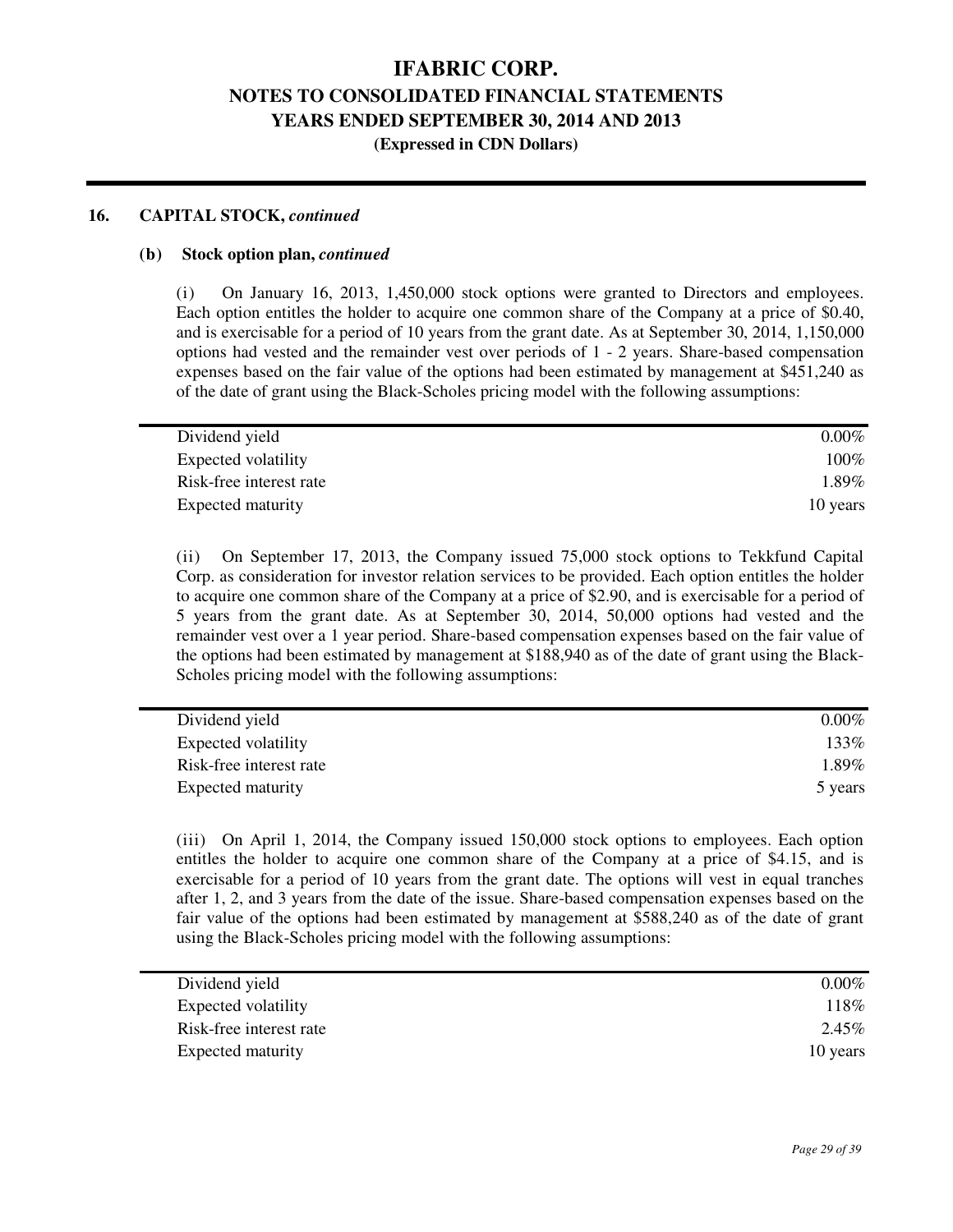### **(Expressed in CDN Dollars)**

#### **16. CAPITAL STOCK,** *continued*

#### **(b) Stock option plan,** *continued*

(i) On January 16, 2013, 1,450,000 stock options were granted to Directors and employees. Each option entitles the holder to acquire one common share of the Company at a price of \$0.40, and is exercisable for a period of 10 years from the grant date. As at September 30, 2014, 1,150,000 options had vested and the remainder vest over periods of 1 - 2 years. Share-based compensation expenses based on the fair value of the options had been estimated by management at \$451,240 as of the date of grant using the Black-Scholes pricing model with the following assumptions:

| $0.00\%$ |
|----------|
| $100\%$  |
| $1.89\%$ |
| 10 years |
|          |

(ii) On September 17, 2013, the Company issued 75,000 stock options to Tekkfund Capital Corp. as consideration for investor relation services to be provided. Each option entitles the holder to acquire one common share of the Company at a price of \$2.90, and is exercisable for a period of 5 years from the grant date. As at September 30, 2014, 50,000 options had vested and the remainder vest over a 1 year period. Share-based compensation expenses based on the fair value of the options had been estimated by management at \$188,940 as of the date of grant using the Black-Scholes pricing model with the following assumptions:

| Dividend yield          | $0.00\%$ |
|-------------------------|----------|
| Expected volatility     | 133%     |
| Risk-free interest rate | $1.89\%$ |
| Expected maturity       | 5 years  |

(iii) On April 1, 2014, the Company issued 150,000 stock options to employees. Each option entitles the holder to acquire one common share of the Company at a price of \$4.15, and is exercisable for a period of 10 years from the grant date. The options will vest in equal tranches after 1, 2, and 3 years from the date of the issue. Share-based compensation expenses based on the fair value of the options had been estimated by management at \$588,240 as of the date of grant using the Black-Scholes pricing model with the following assumptions:

| Dividend yield          | $0.00\%$ |
|-------------------------|----------|
| Expected volatility     | 118%     |
| Risk-free interest rate | 2.45%    |
| Expected maturity       | 10 years |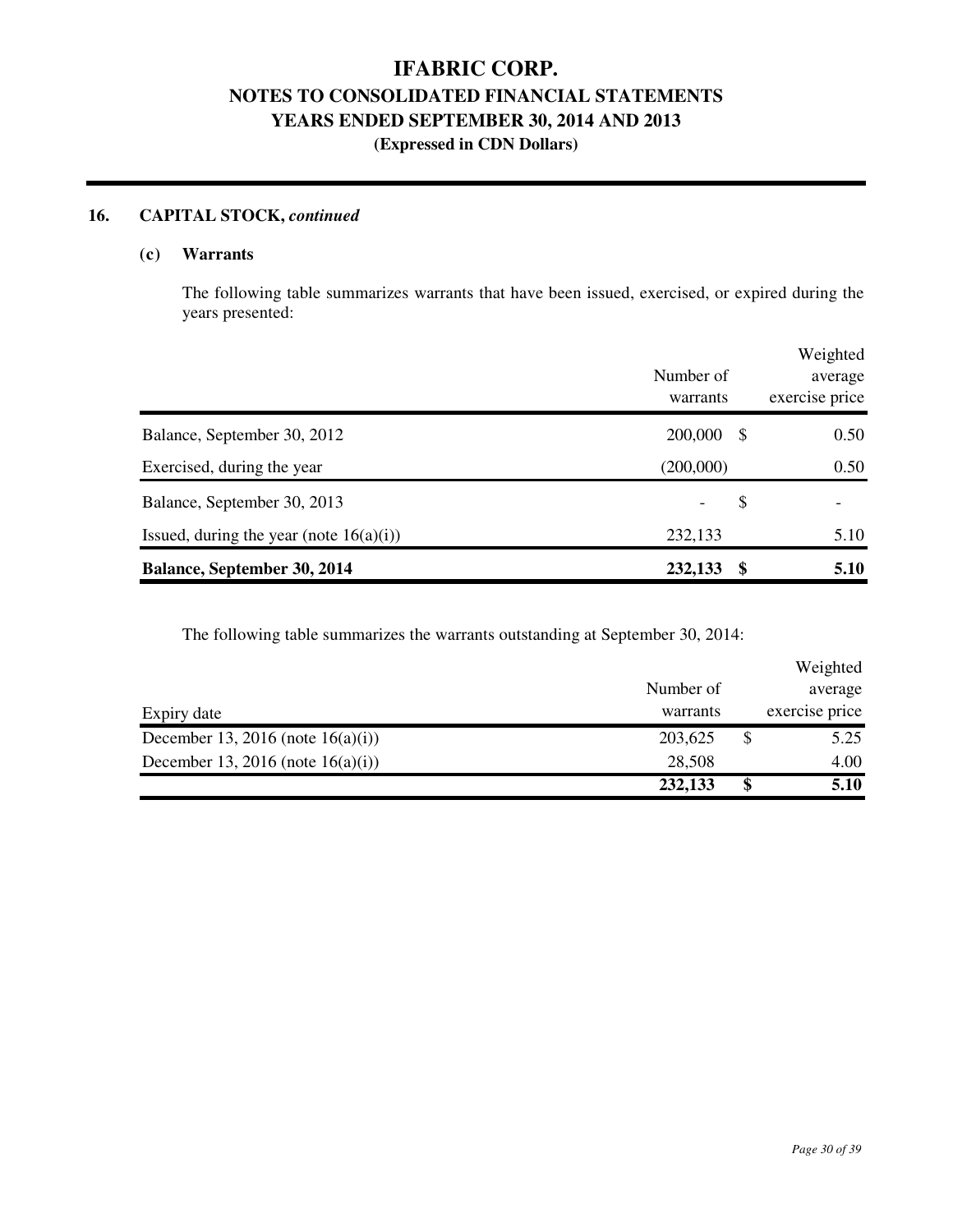### **16. CAPITAL STOCK,** *continued*

#### **(c) Warrants**

 The following table summarizes warrants that have been issued, exercised, or expired during the years presented:

|                                            | Number of<br>warrants |      | Weighted<br>average<br>exercise price |
|--------------------------------------------|-----------------------|------|---------------------------------------|
| Balance, September 30, 2012                | 200,000               | - \$ | 0.50                                  |
| Exercised, during the year                 | (200,000)             |      | 0.50                                  |
| Balance, September 30, 2013                |                       | \$   |                                       |
| Issued, during the year (note $16(a)(i)$ ) | 232,133               |      | 5.10                                  |
| <b>Balance, September 30, 2014</b>         | 232,133               | S    | 5.10                                  |

The following table summarizes the warrants outstanding at September 30, 2014:

|                                      |           |   | Weighted       |
|--------------------------------------|-----------|---|----------------|
|                                      | Number of |   | average        |
| Expiry date                          | warrants  |   | exercise price |
| December 13, 2016 (note $16(a)(i)$ ) | 203,625   |   | 5.25           |
| December 13, 2016 (note $16(a)(i)$ ) | 28,508    |   | 4.00           |
|                                      | 232,133   | S | 5.10           |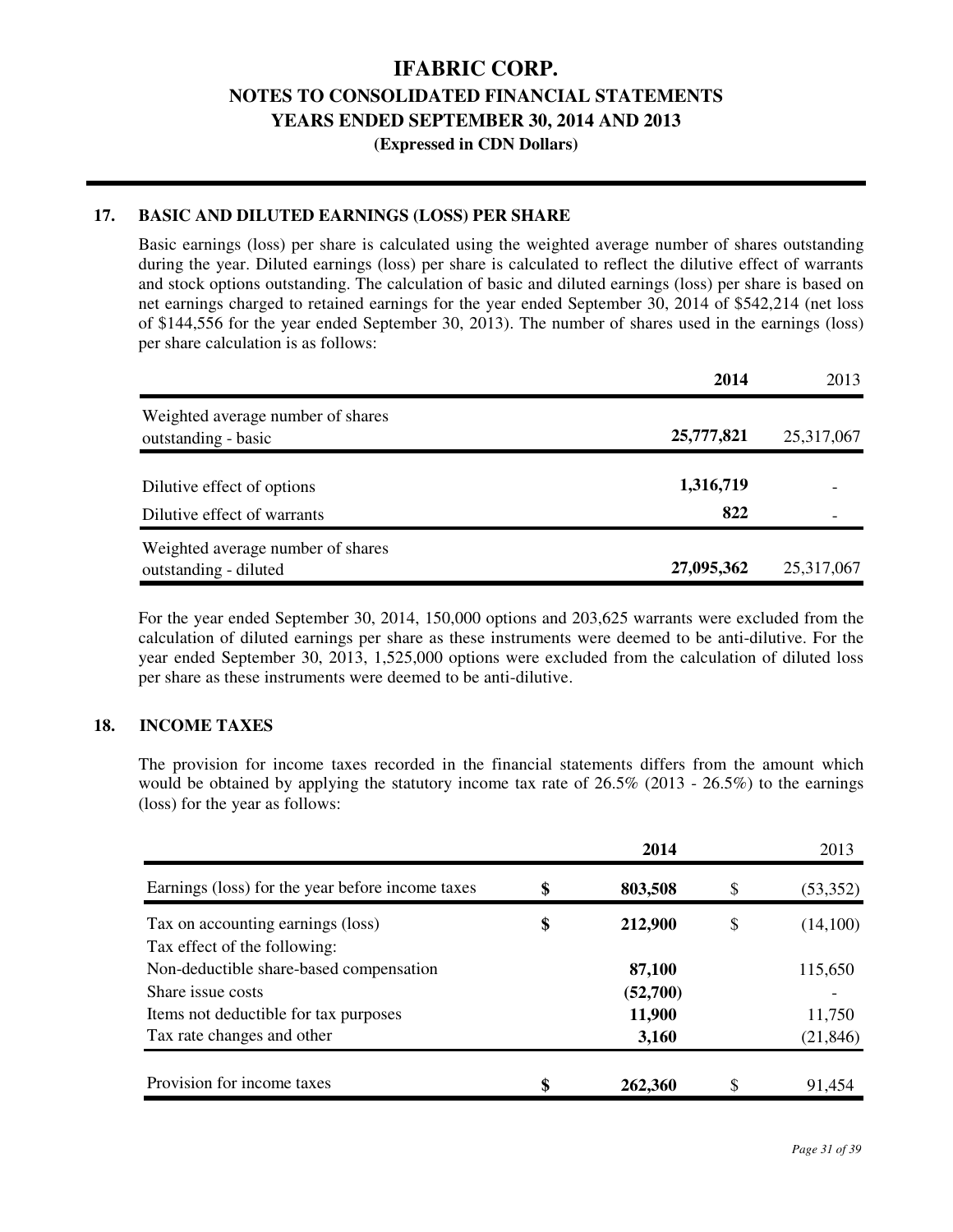**(Expressed in CDN Dollars)** 

#### **17. BASIC AND DILUTED EARNINGS (LOSS) PER SHARE**

Basic earnings (loss) per share is calculated using the weighted average number of shares outstanding during the year. Diluted earnings (loss) per share is calculated to reflect the dilutive effect of warrants and stock options outstanding. The calculation of basic and diluted earnings (loss) per share is based on net earnings charged to retained earnings for the year ended September 30, 2014 of \$542,214 (net loss of \$144,556 for the year ended September 30, 2013). The number of shares used in the earnings (loss) per share calculation is as follows:

|                                   | 2014       | 2013       |
|-----------------------------------|------------|------------|
| Weighted average number of shares |            |            |
| outstanding - basic               | 25,777,821 | 25,317,067 |
| Dilutive effect of options        | 1,316,719  |            |
| Dilutive effect of warrants       | 822        |            |
| Weighted average number of shares |            |            |
| outstanding - diluted             | 27,095,362 | 25,317,067 |

For the year ended September 30, 2014, 150,000 options and 203,625 warrants were excluded from the calculation of diluted earnings per share as these instruments were deemed to be anti-dilutive. For the year ended September 30, 2013, 1,525,000 options were excluded from the calculation of diluted loss per share as these instruments were deemed to be anti-dilutive.

#### **18. INCOME TAXES**

The provision for income taxes recorded in the financial statements differs from the amount which would be obtained by applying the statutory income tax rate of 26.5% (2013 - 26.5%) to the earnings (loss) for the year as follows:

|                                                                         | 2014          |    | 2013      |
|-------------------------------------------------------------------------|---------------|----|-----------|
| Earnings (loss) for the year before income taxes                        | \$<br>803,508 | S  | (53,352)  |
| Tax on accounting earnings (loss)                                       | \$<br>212,900 | \$ | (14,100)  |
| Tax effect of the following:<br>Non-deductible share-based compensation | 87,100        |    | 115,650   |
| Share issue costs                                                       | (52,700)      |    |           |
| Items not deductible for tax purposes                                   | 11,900        |    | 11,750    |
| Tax rate changes and other                                              | 3,160         |    | (21, 846) |
| Provision for income taxes                                              | \$<br>262,360 |    | 91,454    |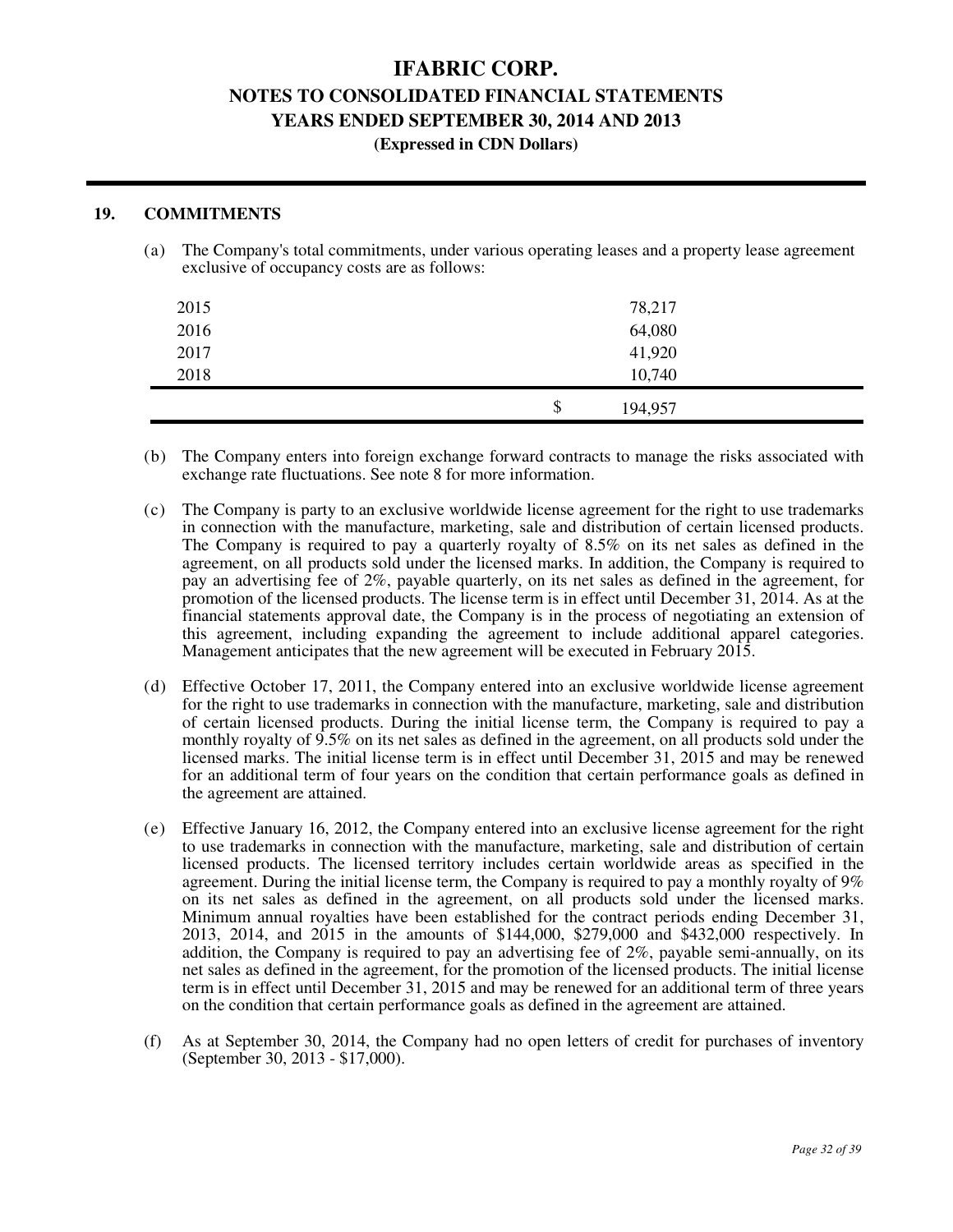#### **(Expressed in CDN Dollars)**

#### **19. COMMITMENTS**

(a) The Company's total commitments, under various operating leases and a property lease agreement exclusive of occupancy costs are as follows:

| 2015<br>2016 | 78,217<br>64,080 |  |
|--------------|------------------|--|
| 2017<br>2018 | 41,920<br>10,740 |  |
|              | \$<br>194,957    |  |

- (b) The Company enters into foreign exchange forward contracts to manage the risks associated with exchange rate fluctuations. See note 8 for more information.
- (c) The Company is party to an exclusive worldwide license agreement for the right to use trademarks in connection with the manufacture, marketing, sale and distribution of certain licensed products. The Company is required to pay a quarterly royalty of 8.5% on its net sales as defined in the agreement, on all products sold under the licensed marks. In addition, the Company is required to pay an advertising fee of 2%, payable quarterly, on its net sales as defined in the agreement, for promotion of the licensed products. The license term is in effect until December 31, 2014. As at the financial statements approval date, the Company is in the process of negotiating an extension of this agreement, including expanding the agreement to include additional apparel categories. Management anticipates that the new agreement will be executed in February 2015.
- (d) Effective October 17, 2011, the Company entered into an exclusive worldwide license agreement for the right to use trademarks in connection with the manufacture, marketing, sale and distribution of certain licensed products. During the initial license term, the Company is required to pay a monthly royalty of 9.5% on its net sales as defined in the agreement, on all products sold under the licensed marks. The initial license term is in effect until December 31, 2015 and may be renewed for an additional term of four years on the condition that certain performance goals as defined in the agreement are attained.
- (e) Effective January 16, 2012, the Company entered into an exclusive license agreement for the right to use trademarks in connection with the manufacture, marketing, sale and distribution of certain licensed products. The licensed territory includes certain worldwide areas as specified in the agreement. During the initial license term, the Company is required to pay a monthly royalty of 9% on its net sales as defined in the agreement, on all products sold under the licensed marks. Minimum annual royalties have been established for the contract periods ending December 31, 2013, 2014, and 2015 in the amounts of \$144,000, \$279,000 and \$432,000 respectively. In addition, the Company is required to pay an advertising fee of  $2\%$ , payable semi-annually, on its net sales as defined in the agreement, for the promotion of the licensed products. The initial license term is in effect until December 31, 2015 and may be renewed for an additional term of three years on the condition that certain performance goals as defined in the agreement are attained.
- (f) As at September 30, 2014, the Company had no open letters of credit for purchases of inventory (September 30, 2013 - \$17,000).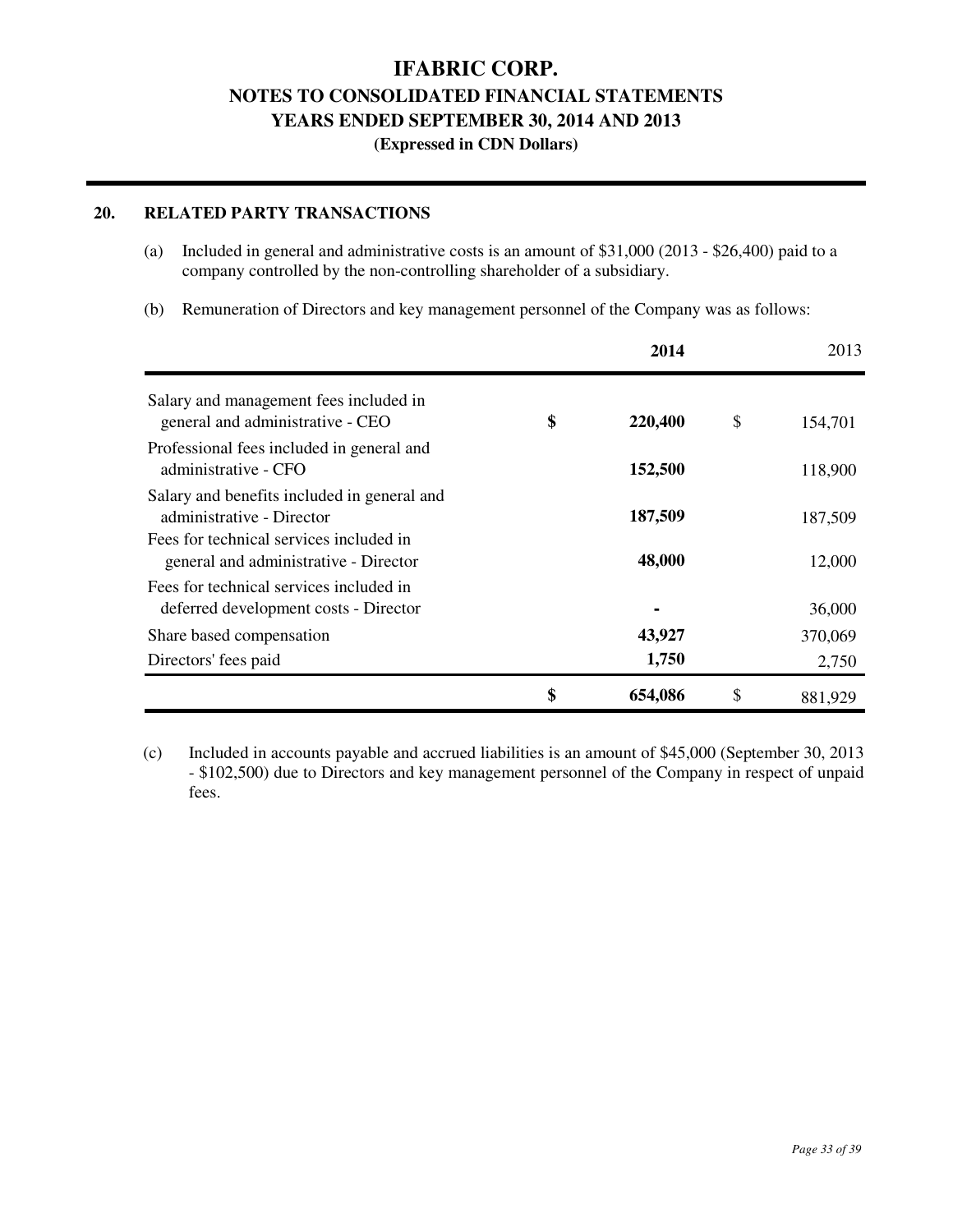### **(Expressed in CDN Dollars)**

### **20. RELATED PARTY TRANSACTIONS**

- (a) Included in general and administrative costs is an amount of \$31,000 (2013 \$26,400) paid to a company controlled by the non-controlling shareholder of a subsidiary.
- (b) Remuneration of Directors and key management personnel of the Company was as follows:

|                                                                                  | 2014          | 2013          |
|----------------------------------------------------------------------------------|---------------|---------------|
| Salary and management fees included in<br>general and administrative - CEO       | \$<br>220,400 | \$<br>154,701 |
| Professional fees included in general and<br>administrative - CFO                | 152,500       | 118,900       |
| Salary and benefits included in general and<br>administrative - Director         | 187,509       | 187,509       |
| Fees for technical services included in<br>general and administrative - Director | 48,000        | 12,000        |
| Fees for technical services included in<br>deferred development costs - Director |               | 36,000        |
| Share based compensation                                                         | 43,927        | 370,069       |
| Directors' fees paid                                                             | 1,750         | 2,750         |
|                                                                                  | \$<br>654,086 | \$<br>881.929 |

(c) Included in accounts payable and accrued liabilities is an amount of \$45,000 (September 30, 2013 - \$102,500) due to Directors and key management personnel of the Company in respect of unpaid fees.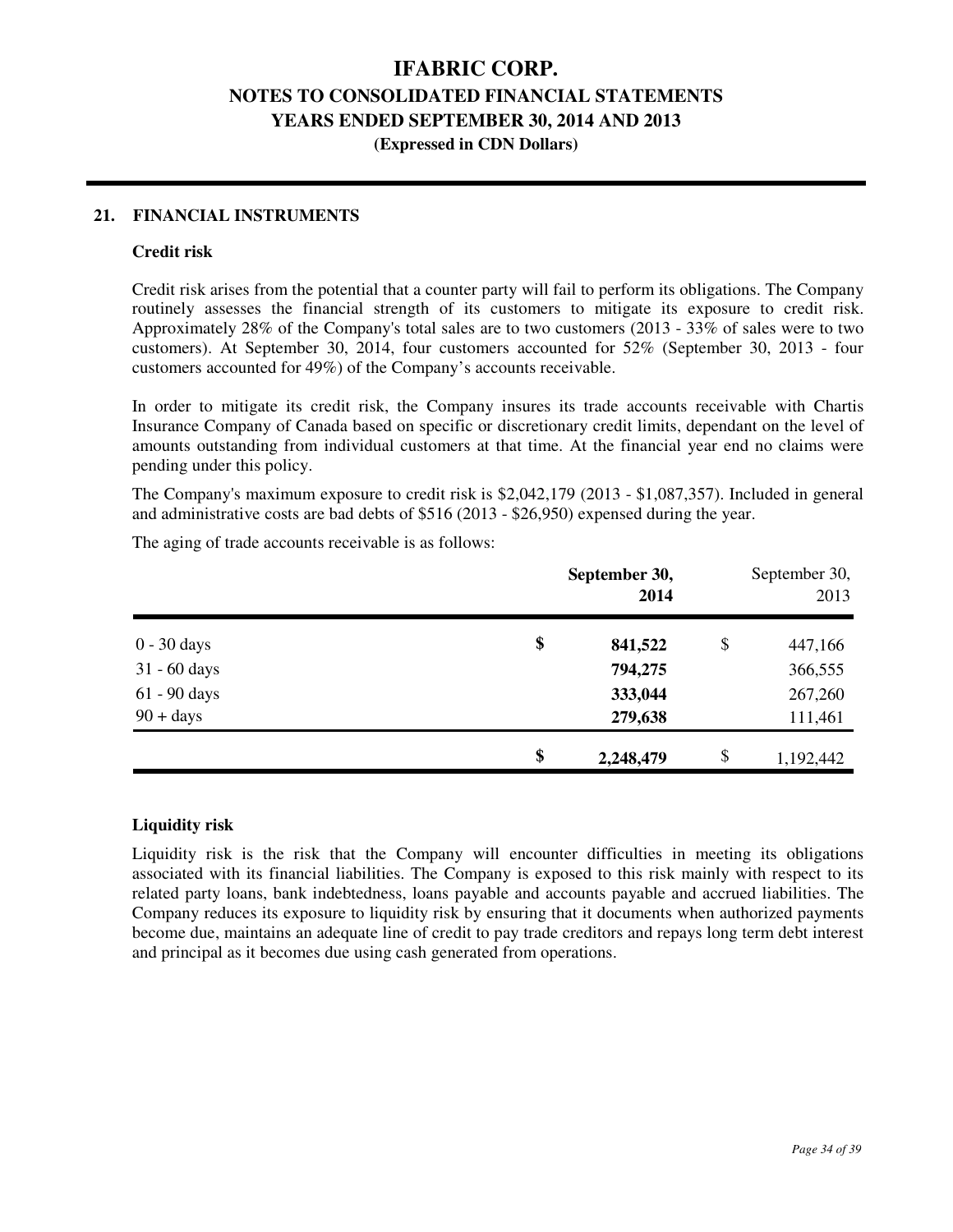#### **21. FINANCIAL INSTRUMENTS**

#### **Credit risk**

Credit risk arises from the potential that a counter party will fail to perform its obligations. The Company routinely assesses the financial strength of its customers to mitigate its exposure to credit risk. Approximately 28% of the Company's total sales are to two customers (2013 - 33% of sales were to two customers). At September 30, 2014, four customers accounted for 52% (September 30, 2013 - four customers accounted for 49%) of the Company's accounts receivable.

In order to mitigate its credit risk, the Company insures its trade accounts receivable with Chartis Insurance Company of Canada based on specific or discretionary credit limits, dependant on the level of amounts outstanding from individual customers at that time. At the financial year end no claims were pending under this policy.

The Company's maximum exposure to credit risk is \$2,042,179 (2013 - \$1,087,357). Included in general and administrative costs are bad debts of \$516 (2013 - \$26,950) expensed during the year.

|                | September 30,<br>2014 | September 30,<br>2013 |           |  |
|----------------|-----------------------|-----------------------|-----------|--|
| $0 - 30$ days  | \$<br>841,522         | \$                    | 447,166   |  |
| $31 - 60$ days | 794,275               |                       | 366,555   |  |
| $61 - 90$ days | 333,044               |                       | 267,260   |  |
| $90 + days$    | 279,638               |                       | 111,461   |  |
|                | \$<br>2,248,479       | \$                    | 1,192,442 |  |

The aging of trade accounts receivable is as follows:

#### **Liquidity risk**

Liquidity risk is the risk that the Company will encounter difficulties in meeting its obligations associated with its financial liabilities. The Company is exposed to this risk mainly with respect to its related party loans, bank indebtedness, loans payable and accounts payable and accrued liabilities. The Company reduces its exposure to liquidity risk by ensuring that it documents when authorized payments become due, maintains an adequate line of credit to pay trade creditors and repays long term debt interest and principal as it becomes due using cash generated from operations.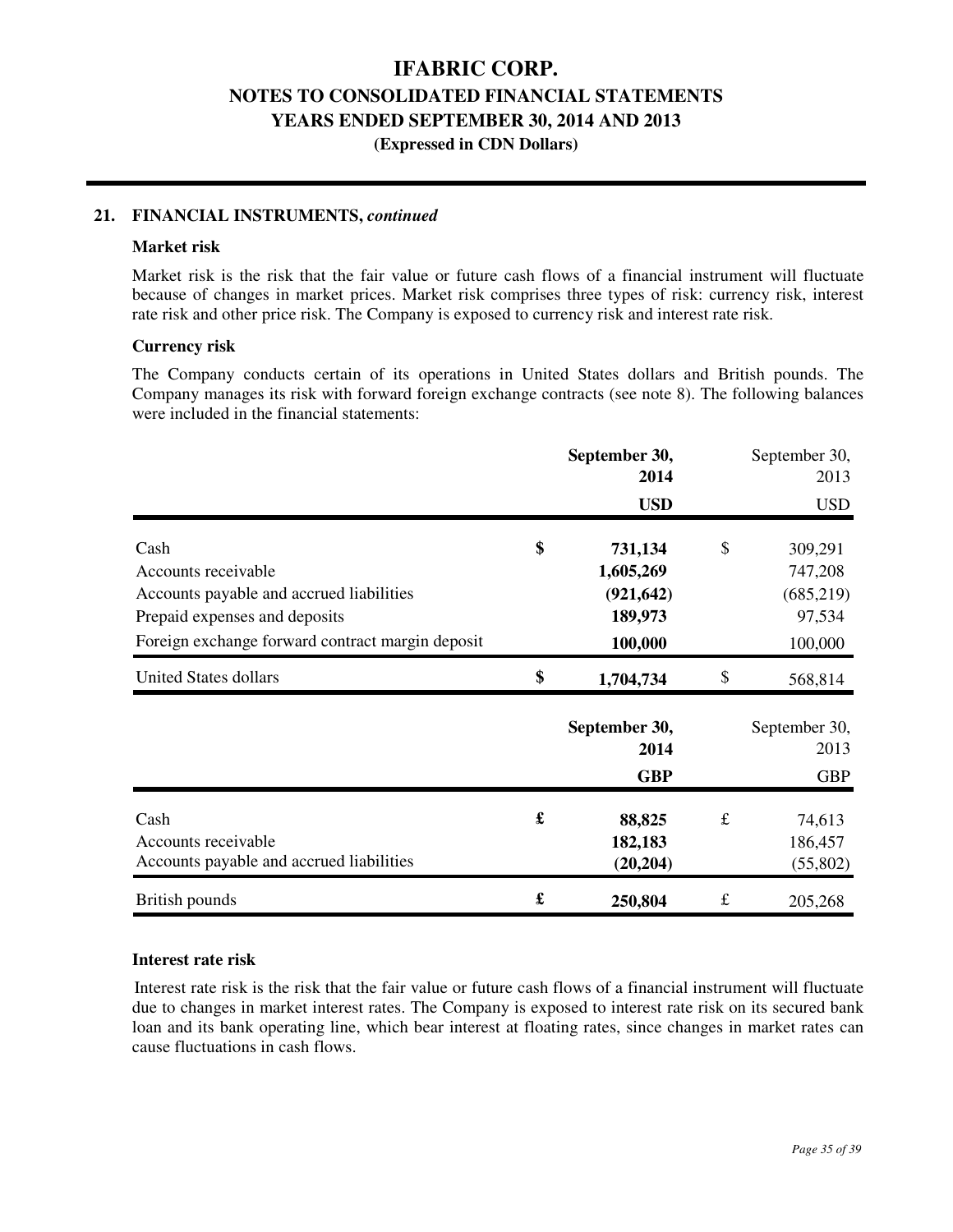#### **21. FINANCIAL INSTRUMENTS,** *continued*

#### **Market risk**

Market risk is the risk that the fair value or future cash flows of a financial instrument will fluctuate because of changes in market prices. Market risk comprises three types of risk: currency risk, interest rate risk and other price risk. The Company is exposed to currency risk and interest rate risk.

#### **Currency risk**

The Company conducts certain of its operations in United States dollars and British pounds. The Company manages its risk with forward foreign exchange contracts (see note 8). The following balances were included in the financial statements:

|                                                  |                      | September 30,<br>2014 |           | September 30,<br>2013 |
|--------------------------------------------------|----------------------|-----------------------|-----------|-----------------------|
|                                                  |                      | <b>USD</b>            |           | <b>USD</b>            |
| Cash                                             | \$                   | 731,134               | \$        | 309,291               |
| Accounts receivable                              |                      | 1,605,269             |           | 747,208               |
| Accounts payable and accrued liabilities         |                      | (921, 642)            |           | (685,219)             |
| Prepaid expenses and deposits                    |                      | 189,973               |           | 97,534                |
| Foreign exchange forward contract margin deposit |                      | 100,000               |           | 100,000               |
| <b>United States dollars</b>                     | \$                   | 1,704,734             | \$        | 568,814               |
|                                                  |                      | September 30,<br>2014 |           | September 30,<br>2013 |
|                                                  |                      | <b>GBP</b>            |           | <b>GBP</b>            |
| Cash                                             | £                    | 88,825                | $\pounds$ | 74,613                |
| Accounts receivable                              |                      | 182,183               |           | 186,457               |
| Accounts payable and accrued liabilities         |                      | (20, 204)             |           | (55,802)              |
| British pounds                                   | $\pmb{\mathfrak{L}}$ | 250,804               | $\pounds$ | 205,268               |

#### **Interest rate risk**

Interest rate risk is the risk that the fair value or future cash flows of a financial instrument will fluctuate due to changes in market interest rates. The Company is exposed to interest rate risk on its secured bank loan and its bank operating line, which bear interest at floating rates, since changes in market rates can cause fluctuations in cash flows.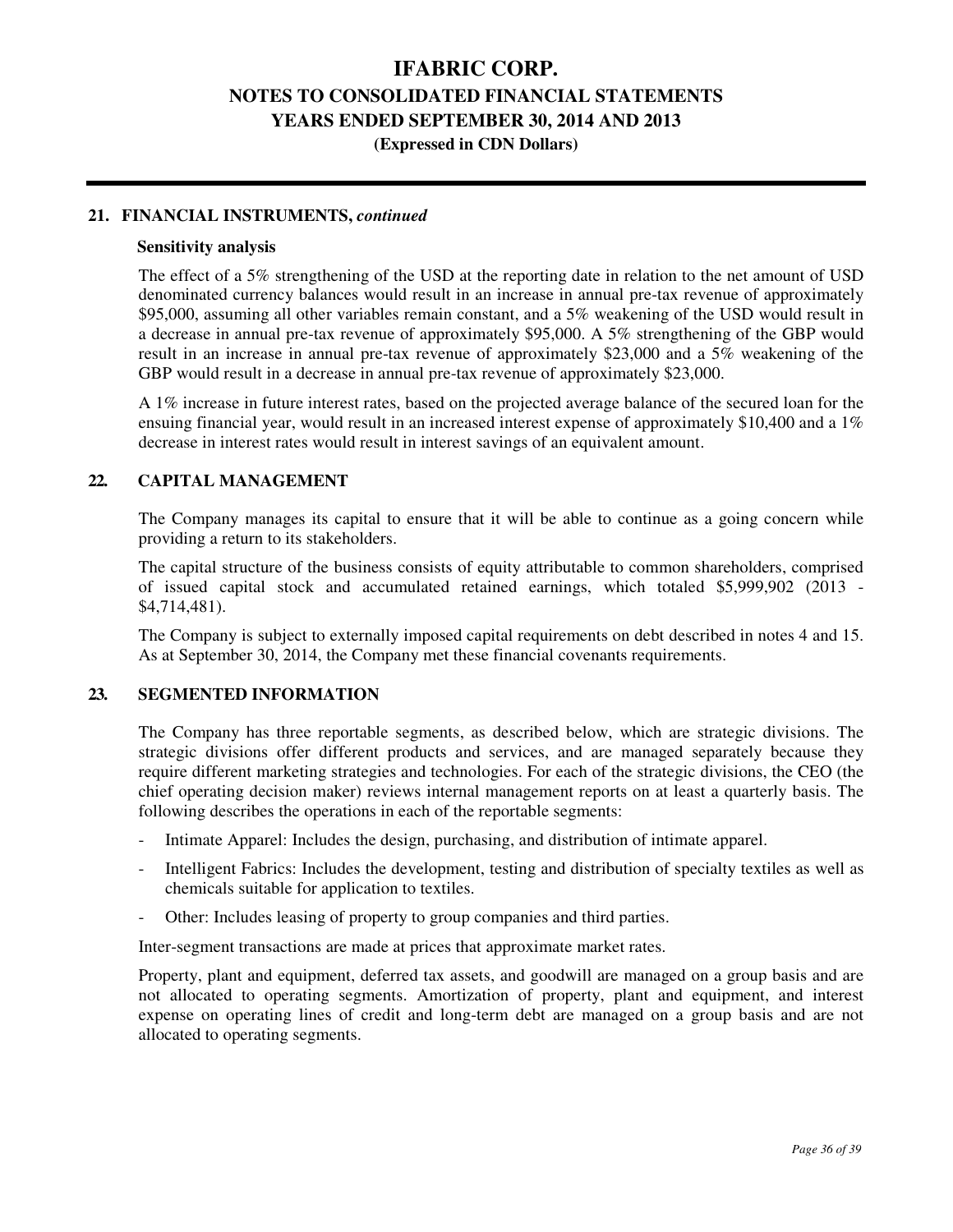**(Expressed in CDN Dollars)** 

#### **21. FINANCIAL INSTRUMENTS,** *continued*

#### **Sensitivity analysis**

The effect of a 5% strengthening of the USD at the reporting date in relation to the net amount of USD denominated currency balances would result in an increase in annual pre-tax revenue of approximately \$95,000, assuming all other variables remain constant, and a 5% weakening of the USD would result in a decrease in annual pre-tax revenue of approximately \$95,000. A 5% strengthening of the GBP would result in an increase in annual pre-tax revenue of approximately \$23,000 and a 5% weakening of the GBP would result in a decrease in annual pre-tax revenue of approximately \$23,000.

A 1% increase in future interest rates, based on the projected average balance of the secured loan for the ensuing financial year, would result in an increased interest expense of approximately \$10,400 and a 1% decrease in interest rates would result in interest savings of an equivalent amount.

#### **22. CAPITAL MANAGEMENT**

The Company manages its capital to ensure that it will be able to continue as a going concern while providing a return to its stakeholders.

The capital structure of the business consists of equity attributable to common shareholders, comprised of issued capital stock and accumulated retained earnings, which totaled \$5,999,902 (2013 - \$4,714,481).

The Company is subject to externally imposed capital requirements on debt described in notes 4 and 15. As at September 30, 2014, the Company met these financial covenants requirements.

#### **23. SEGMENTED INFORMATION**

The Company has three reportable segments, as described below, which are strategic divisions. The strategic divisions offer different products and services, and are managed separately because they require different marketing strategies and technologies. For each of the strategic divisions, the CEO (the chief operating decision maker) reviews internal management reports on at least a quarterly basis. The following describes the operations in each of the reportable segments:

- Intimate Apparel: Includes the design, purchasing, and distribution of intimate apparel.
- Intelligent Fabrics: Includes the development, testing and distribution of specialty textiles as well as chemicals suitable for application to textiles.
- Other: Includes leasing of property to group companies and third parties.

Inter-segment transactions are made at prices that approximate market rates.

Property, plant and equipment, deferred tax assets, and goodwill are managed on a group basis and are not allocated to operating segments. Amortization of property, plant and equipment, and interest expense on operating lines of credit and long-term debt are managed on a group basis and are not allocated to operating segments.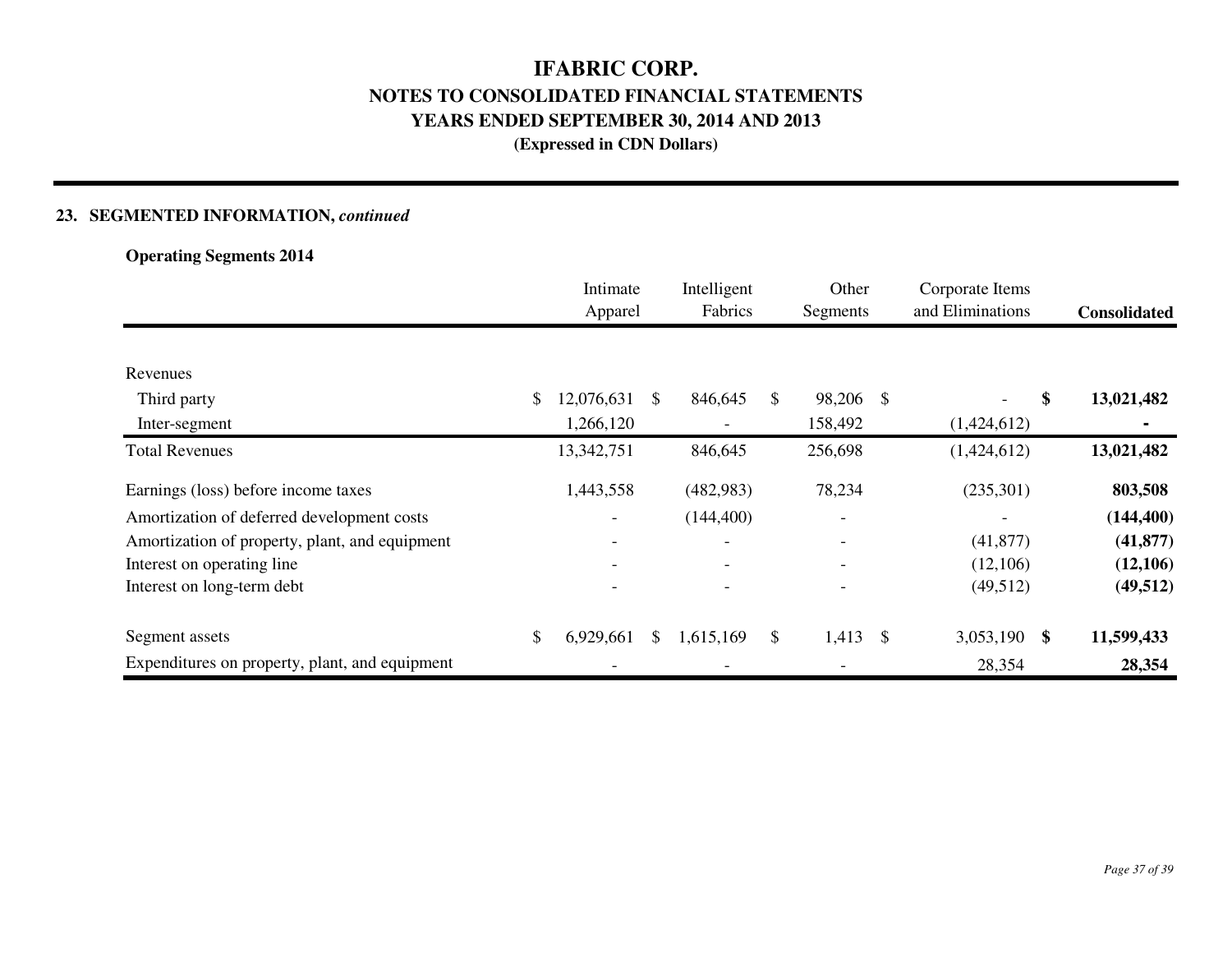### **23. SEGMENTED INFORMATION,** *continued*

### **Operating Segments 2014**

|                                                | Intimate<br>Apparel |    | Intelligent<br>Fabrics   | Other<br>Segments        | Corporate Items<br>and Eliminations | <b>Consolidated</b> |
|------------------------------------------------|---------------------|----|--------------------------|--------------------------|-------------------------------------|---------------------|
|                                                |                     |    |                          |                          |                                     |                     |
| Revenues                                       |                     |    |                          |                          |                                     |                     |
| Third party                                    | \$<br>12,076,631    | \$ | 846,645                  | \$<br>98,206 \$          | \$<br>$\overline{\phantom{a}}$      | 13,021,482          |
| Inter-segment                                  | 1,266,120           |    |                          | 158,492                  | (1,424,612)                         |                     |
| <b>Total Revenues</b>                          | 13,342,751          |    | 846,645                  | 256,698                  | (1,424,612)                         | 13,021,482          |
| Earnings (loss) before income taxes            | 1,443,558           |    | (482,983)                | 78,234                   | (235,301)                           | 803,508             |
| Amortization of deferred development costs     | -                   |    | (144, 400)               |                          |                                     | (144, 400)          |
| Amortization of property, plant, and equipment |                     |    | $\overline{\phantom{0}}$ | $\overline{\phantom{a}}$ | (41, 877)                           | (41, 877)           |
| Interest on operating line                     |                     |    |                          |                          | (12,106)                            | (12,106)            |
| Interest on long-term debt                     |                     |    |                          |                          | (49,512)                            | (49, 512)           |
| Segment assets                                 | \$<br>6,929,661     | S. | 1,615,169                | \$<br>$1,413$ \$         | 3,053,190 \$                        | 11,599,433          |
| Expenditures on property, plant, and equipment |                     |    |                          | $\qquad \qquad$          | 28,354                              | 28,354              |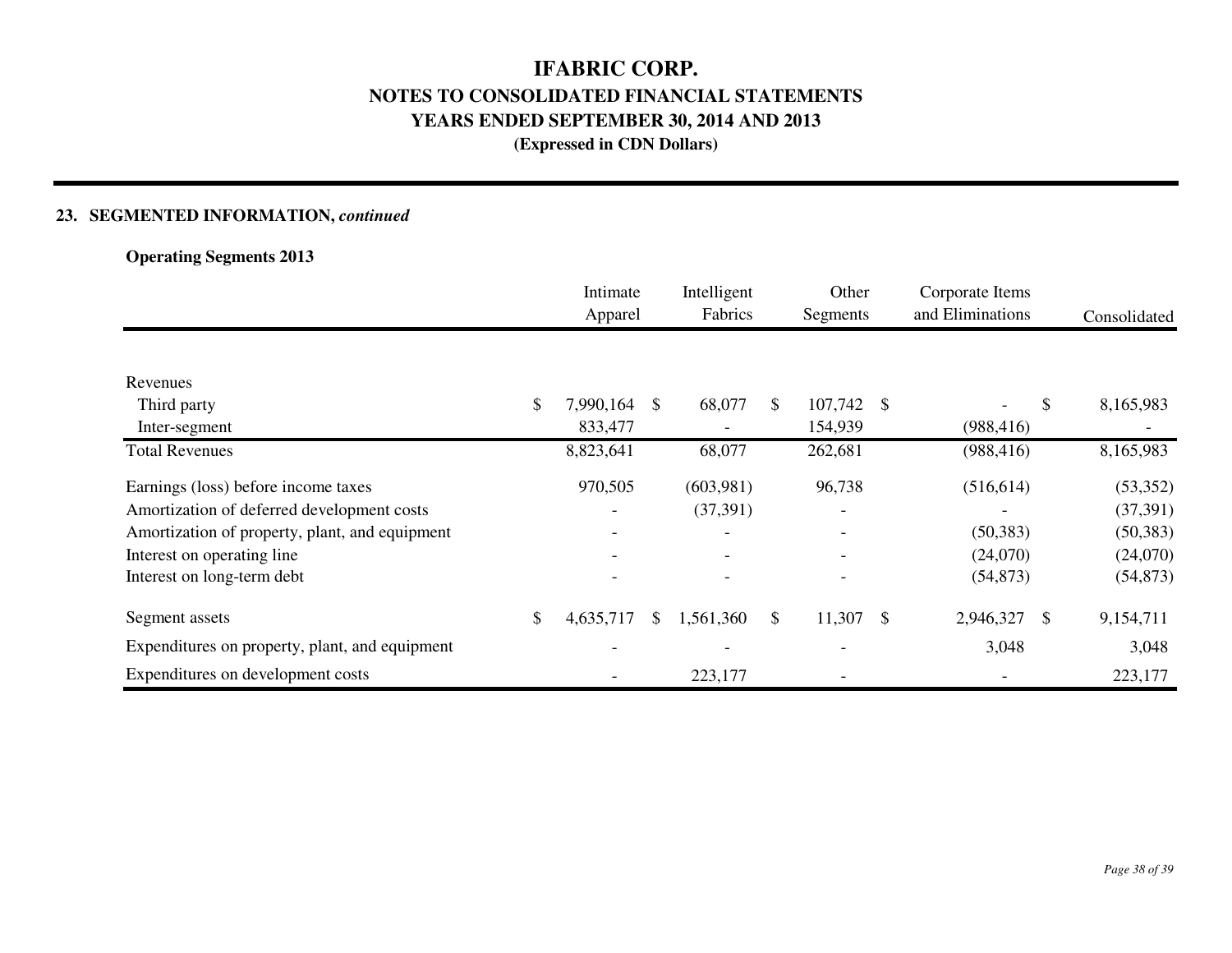### **23. SEGMENTED INFORMATION,** *continued*

**Operating Segments 2013**

|                                                | Intimate<br>Apparel      |     | Intelligent<br>Fabrics   |              | Other<br>Segments        |               | Corporate Items<br>and Eliminations | Consolidated |
|------------------------------------------------|--------------------------|-----|--------------------------|--------------|--------------------------|---------------|-------------------------------------|--------------|
|                                                |                          |     |                          |              |                          |               |                                     |              |
| Revenues                                       |                          |     |                          |              |                          |               |                                     |              |
| Third party                                    | \$<br>7,990,164          | \$. | 68,077                   | \$           | 107,742 \$               |               | \$                                  | 8,165,983    |
| Inter-segment                                  | 833,477                  |     |                          |              | 154,939                  |               | (988, 416)                          |              |
| <b>Total Revenues</b>                          | 8,823,641                |     | 68,077                   |              | 262,681                  |               | (988, 416)                          | 8,165,983    |
| Earnings (loss) before income taxes            | 970,505                  |     | (603,981)                |              | 96,738                   |               | (516, 614)                          | (53, 352)    |
| Amortization of deferred development costs     |                          |     | (37, 391)                |              |                          |               |                                     | (37, 391)    |
| Amortization of property, plant, and equipment |                          |     | $\overline{\phantom{a}}$ |              | -                        |               | (50, 383)                           | (50, 383)    |
| Interest on operating line                     | $\overline{\phantom{a}}$ |     | -                        |              | $\overline{\phantom{0}}$ |               | (24,070)                            | (24,070)     |
| Interest on long-term debt                     |                          |     | $\overline{\phantom{a}}$ |              |                          |               | (54, 873)                           | (54, 873)    |
| Segment assets                                 | \$<br>4,635,717          | \$  | 1,561,360                | $\mathbb{S}$ | 11,307                   | $\mathcal{S}$ | 2,946,327<br>- \$                   | 9,154,711    |
| Expenditures on property, plant, and equipment |                          |     |                          |              |                          |               | 3,048                               | 3,048        |
| Expenditures on development costs              |                          |     | 223,177                  |              |                          |               |                                     | 223,177      |